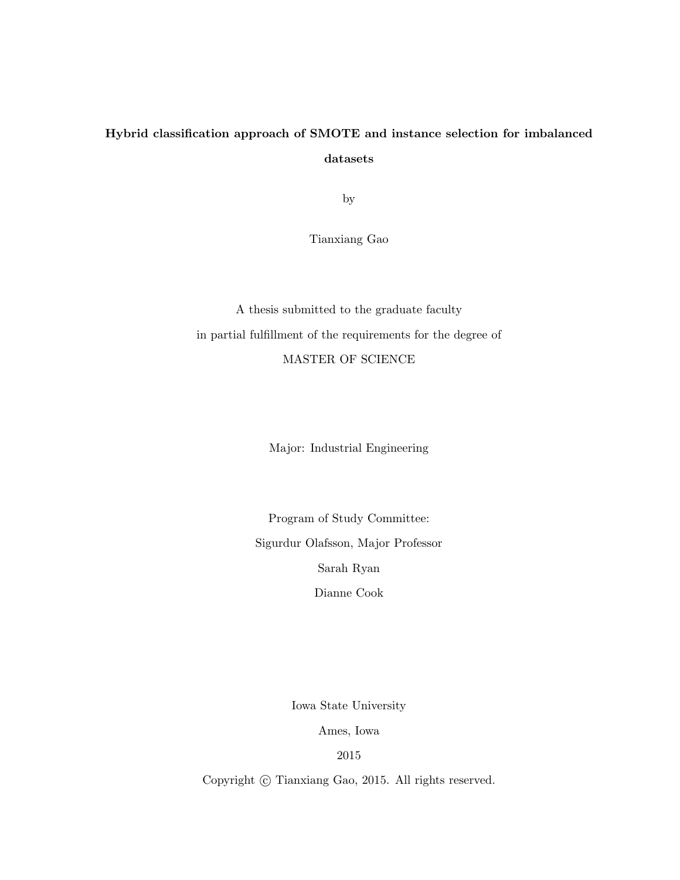# Hybrid classification approach of SMOTE and instance selection for imbalanced datasets

by

Tianxiang Gao

A thesis submitted to the graduate faculty in partial fulfillment of the requirements for the degree of MASTER OF SCIENCE

Major: Industrial Engineering

Program of Study Committee: Sigurdur Olafsson, Major Professor Sarah Ryan Dianne Cook

Iowa State University

Ames, Iowa

2015

Copyright  $\odot$  Tianxiang Gao, 2015. All rights reserved.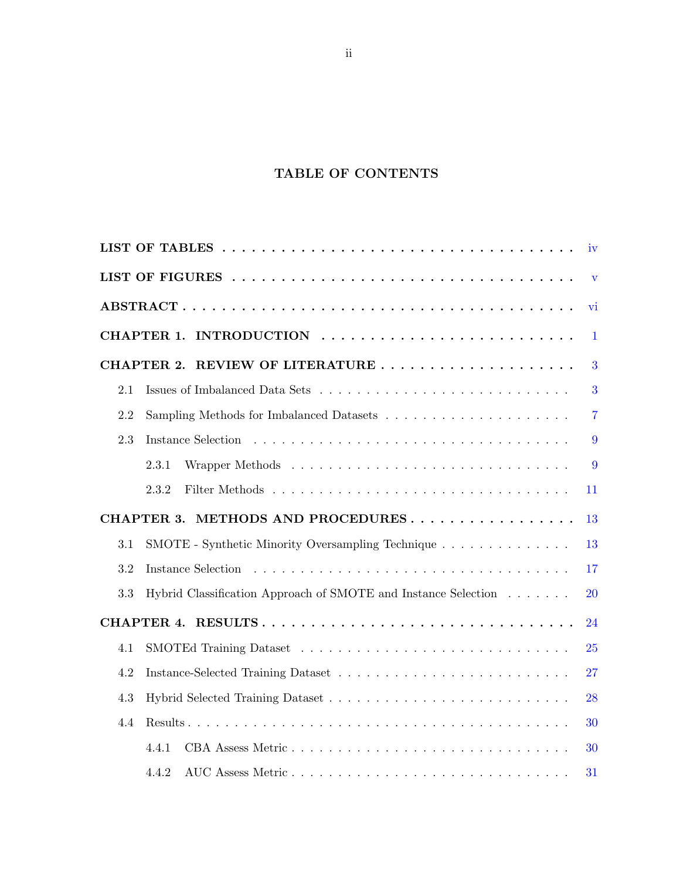## TABLE OF CONTENTS

|     |                                                                | iv             |
|-----|----------------------------------------------------------------|----------------|
|     |                                                                | V              |
|     |                                                                | vi             |
|     | INTRODUCTION<br>CHAPTER 1.                                     | $\mathbf{1}$   |
|     | CHAPTER 2.                                                     | 3              |
| 2.1 |                                                                | 3              |
| 2.2 |                                                                | $\overline{7}$ |
| 2.3 | Instance Selection                                             | 9              |
|     | 2.3.1                                                          | 9              |
|     | 2.3.2                                                          | 11             |
|     | METHODS AND PROCEDURES<br><b>CHAPTER 3.</b>                    | 13             |
| 3.1 | SMOTE - Synthetic Minority Oversampling Technique              | 13             |
| 3.2 | Instance Selection                                             | 17             |
| 3.3 | Hybrid Classification Approach of SMOTE and Instance Selection | 20             |
|     | CHAPTER 4.                                                     | 24             |
| 4.1 |                                                                | 25             |
| 4.2 |                                                                | 27             |
| 4.3 |                                                                | 28             |
| 4.4 |                                                                | 30             |
|     | 4.4.1                                                          | 30             |
|     | 4.4.2                                                          | 31             |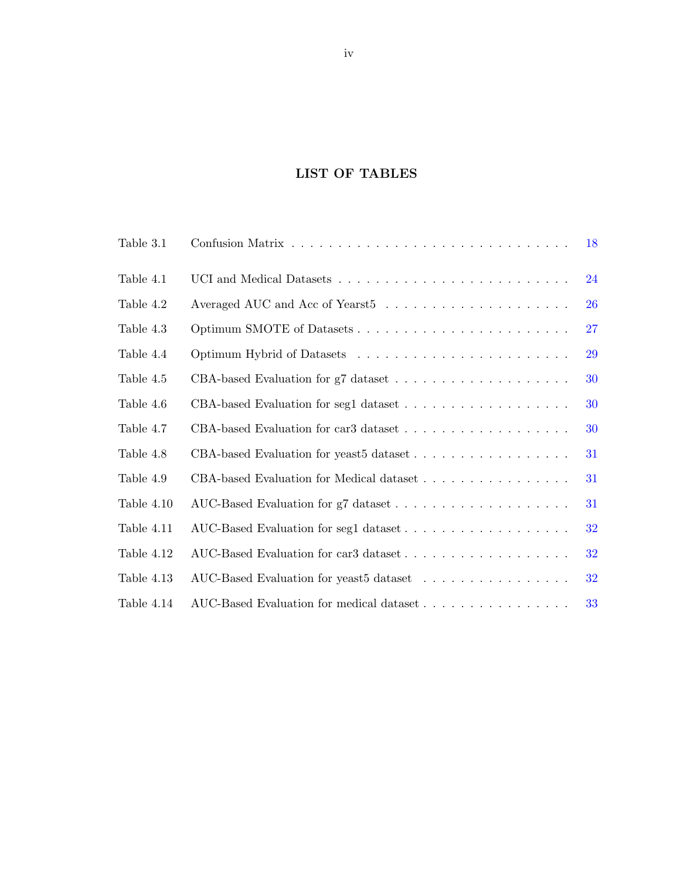## LIST OF TABLES

<span id="page-3-0"></span>

| Table 3.1  |                                          | 18 |
|------------|------------------------------------------|----|
| Table 4.1  |                                          | 24 |
| Table 4.2  |                                          | 26 |
| Table 4.3  |                                          | 27 |
| Table 4.4  |                                          | 29 |
| Table 4.5  |                                          | 30 |
| Table 4.6  |                                          | 30 |
| Table 4.7  |                                          | 30 |
| Table 4.8  |                                          | 31 |
| Table 4.9  | CBA-based Evaluation for Medical dataset | 31 |
| Table 4.10 |                                          | 31 |
| Table 4.11 |                                          | 32 |
| Table 4.12 |                                          | 32 |
| Table 4.13 | AUC-Based Evaluation for yeast5 dataset  | 32 |
| Table 4.14 |                                          | 33 |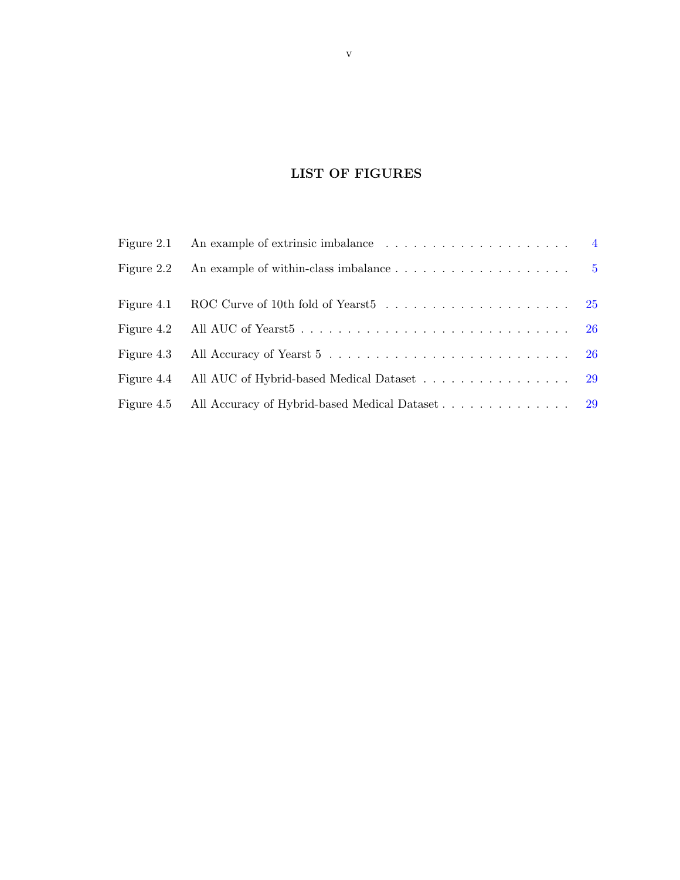## LIST OF FIGURES

<span id="page-4-0"></span>

| Figure 2.2 An example of within-class imbalance $\ldots \ldots \ldots \ldots \ldots \ldots$ |  |
|---------------------------------------------------------------------------------------------|--|
|                                                                                             |  |
|                                                                                             |  |
|                                                                                             |  |
| Figure 4.4 All AUC of Hybrid-based Medical Dataset 29                                       |  |
|                                                                                             |  |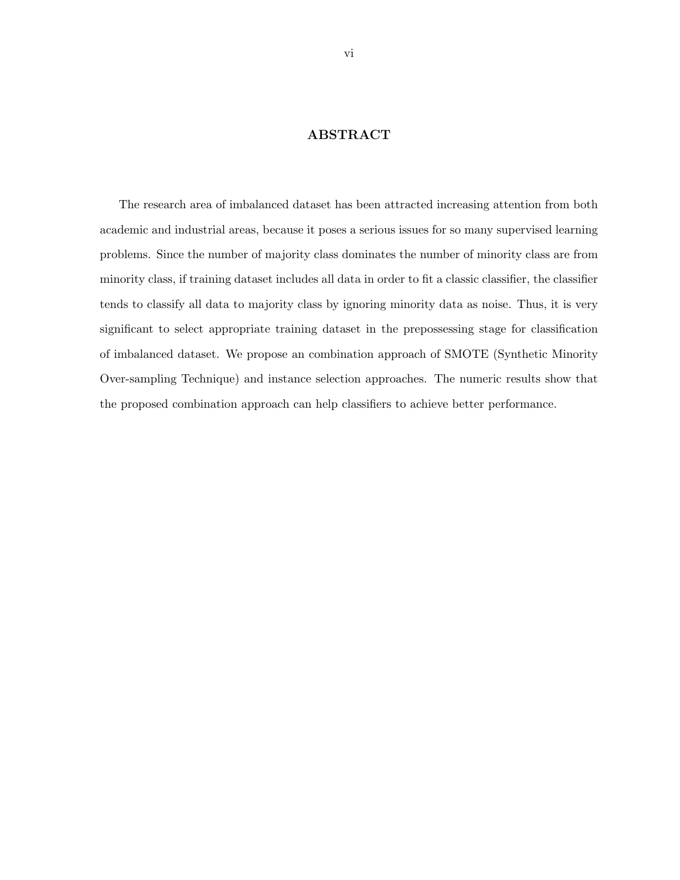## ABSTRACT

<span id="page-5-0"></span>The research area of imbalanced dataset has been attracted increasing attention from both academic and industrial areas, because it poses a serious issues for so many supervised learning problems. Since the number of majority class dominates the number of minority class are from minority class, if training dataset includes all data in order to fit a classic classifier, the classifier tends to classify all data to majority class by ignoring minority data as noise. Thus, it is very significant to select appropriate training dataset in the prepossessing stage for classification of imbalanced dataset. We propose an combination approach of SMOTE (Synthetic Minority Over-sampling Technique) and instance selection approaches. The numeric results show that the proposed combination approach can help classifiers to achieve better performance.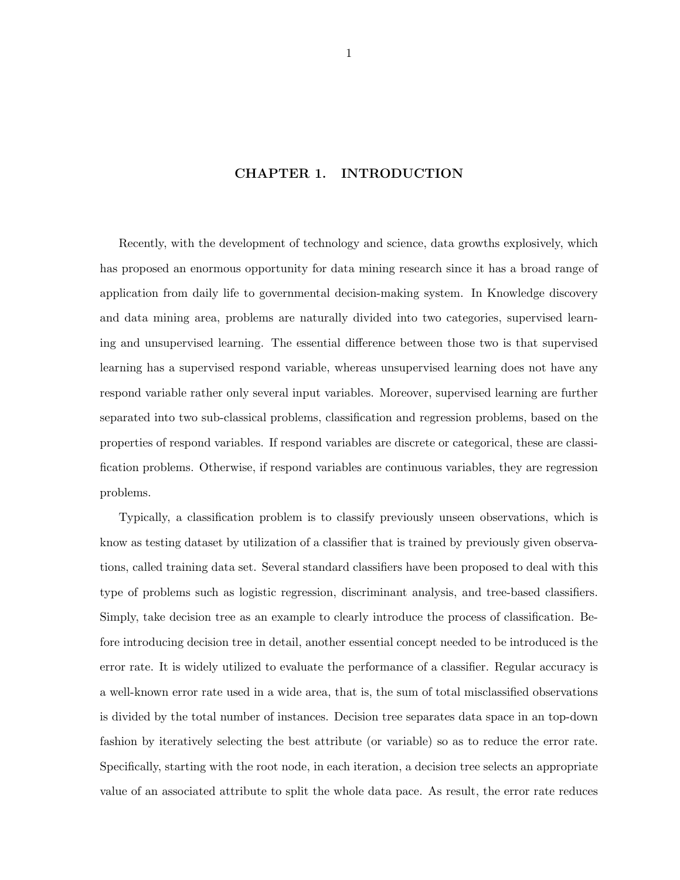### CHAPTER 1. INTRODUCTION

<span id="page-6-0"></span>Recently, with the development of technology and science, data growths explosively, which has proposed an enormous opportunity for data mining research since it has a broad range of application from daily life to governmental decision-making system. In Knowledge discovery and data mining area, problems are naturally divided into two categories, supervised learning and unsupervised learning. The essential difference between those two is that supervised learning has a supervised respond variable, whereas unsupervised learning does not have any respond variable rather only several input variables. Moreover, supervised learning are further separated into two sub-classical problems, classification and regression problems, based on the properties of respond variables. If respond variables are discrete or categorical, these are classification problems. Otherwise, if respond variables are continuous variables, they are regression problems.

Typically, a classification problem is to classify previously unseen observations, which is know as testing dataset by utilization of a classifier that is trained by previously given observations, called training data set. Several standard classifiers have been proposed to deal with this type of problems such as logistic regression, discriminant analysis, and tree-based classifiers. Simply, take decision tree as an example to clearly introduce the process of classification. Before introducing decision tree in detail, another essential concept needed to be introduced is the error rate. It is widely utilized to evaluate the performance of a classifier. Regular accuracy is a well-known error rate used in a wide area, that is, the sum of total misclassified observations is divided by the total number of instances. Decision tree separates data space in an top-down fashion by iteratively selecting the best attribute (or variable) so as to reduce the error rate. Specifically, starting with the root node, in each iteration, a decision tree selects an appropriate value of an associated attribute to split the whole data pace. As result, the error rate reduces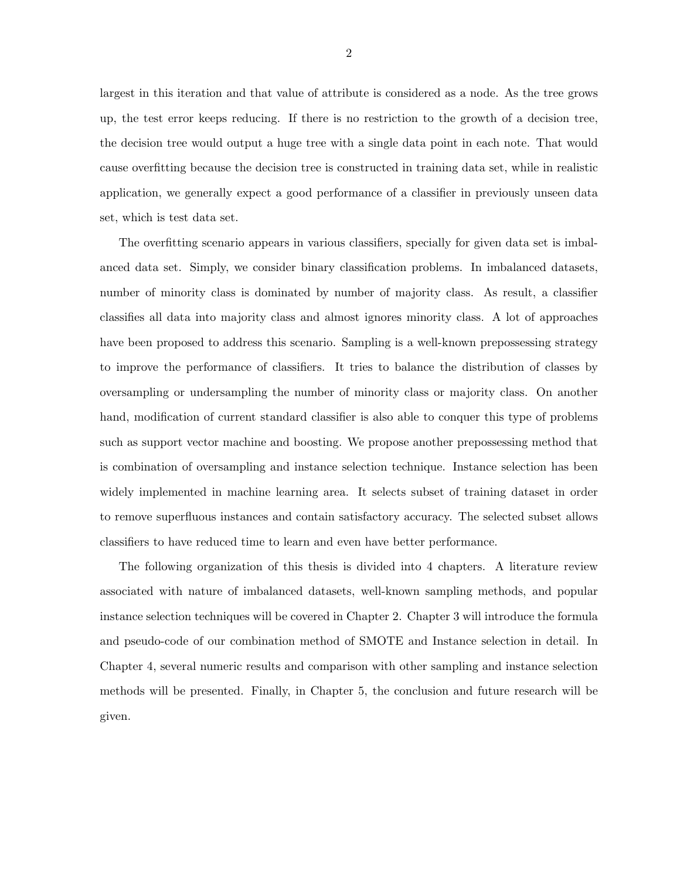largest in this iteration and that value of attribute is considered as a node. As the tree grows up, the test error keeps reducing. If there is no restriction to the growth of a decision tree, the decision tree would output a huge tree with a single data point in each note. That would cause overfitting because the decision tree is constructed in training data set, while in realistic application, we generally expect a good performance of a classifier in previously unseen data set, which is test data set.

The overfitting scenario appears in various classifiers, specially for given data set is imbalanced data set. Simply, we consider binary classification problems. In imbalanced datasets, number of minority class is dominated by number of majority class. As result, a classifier classifies all data into majority class and almost ignores minority class. A lot of approaches have been proposed to address this scenario. Sampling is a well-known prepossessing strategy to improve the performance of classifiers. It tries to balance the distribution of classes by oversampling or undersampling the number of minority class or majority class. On another hand, modification of current standard classifier is also able to conquer this type of problems such as support vector machine and boosting. We propose another prepossessing method that is combination of oversampling and instance selection technique. Instance selection has been widely implemented in machine learning area. It selects subset of training dataset in order to remove superfluous instances and contain satisfactory accuracy. The selected subset allows classifiers to have reduced time to learn and even have better performance.

The following organization of this thesis is divided into 4 chapters. A literature review associated with nature of imbalanced datasets, well-known sampling methods, and popular instance selection techniques will be covered in Chapter 2. Chapter 3 will introduce the formula and pseudo-code of our combination method of SMOTE and Instance selection in detail. In Chapter 4, several numeric results and comparison with other sampling and instance selection methods will be presented. Finally, in Chapter 5, the conclusion and future research will be given.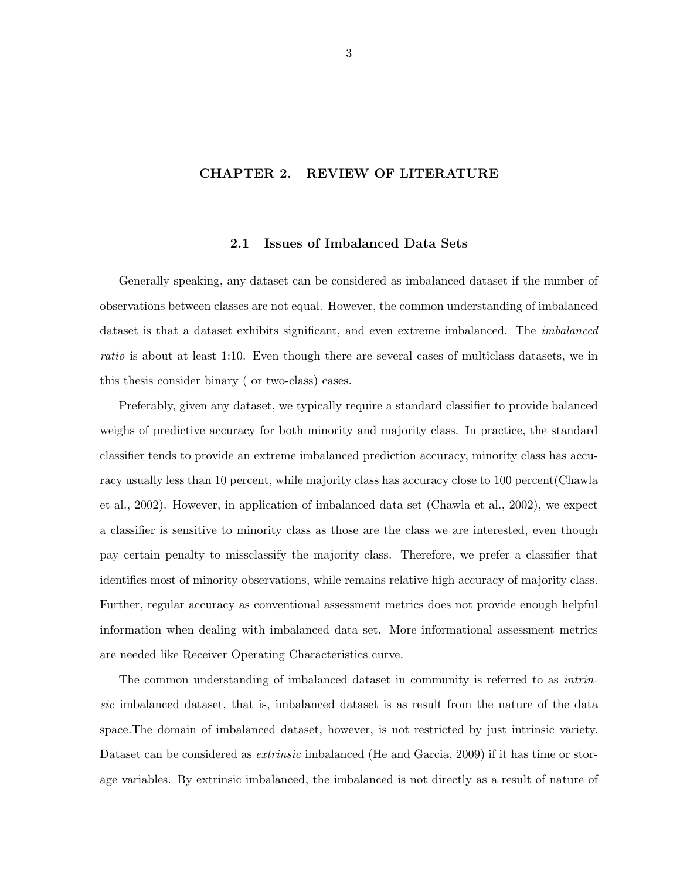## <span id="page-8-0"></span>CHAPTER 2. REVIEW OF LITERATURE

### 2.1 Issues of Imbalanced Data Sets

Generally speaking, any dataset can be considered as imbalanced dataset if the number of observations between classes are not equal. However, the common understanding of imbalanced dataset is that a dataset exhibits significant, and even extreme imbalanced. The *imbalanced* ratio is about at least 1:10. Even though there are several cases of multiclass datasets, we in this thesis consider binary ( or two-class) cases.

Preferably, given any dataset, we typically require a standard classifier to provide balanced weighs of predictive accuracy for both minority and majority class. In practice, the standard classifier tends to provide an extreme imbalanced prediction accuracy, minority class has accuracy usually less than 10 percent, while majority class has accuracy close to 100 percent(Chawla et al., 2002). However, in application of imbalanced data set (Chawla et al., 2002), we expect a classifier is sensitive to minority class as those are the class we are interested, even though pay certain penalty to missclassify the majority class. Therefore, we prefer a classifier that identifies most of minority observations, while remains relative high accuracy of majority class. Further, regular accuracy as conventional assessment metrics does not provide enough helpful information when dealing with imbalanced data set. More informational assessment metrics are needed like Receiver Operating Characteristics curve.

The common understanding of imbalanced dataset in community is referred to as intrinsic imbalanced dataset, that is, imbalanced dataset is as result from the nature of the data space.The domain of imbalanced dataset, however, is not restricted by just intrinsic variety. Dataset can be considered as *extrinsic* imbalanced (He and Garcia, 2009) if it has time or storage variables. By extrinsic imbalanced, the imbalanced is not directly as a result of nature of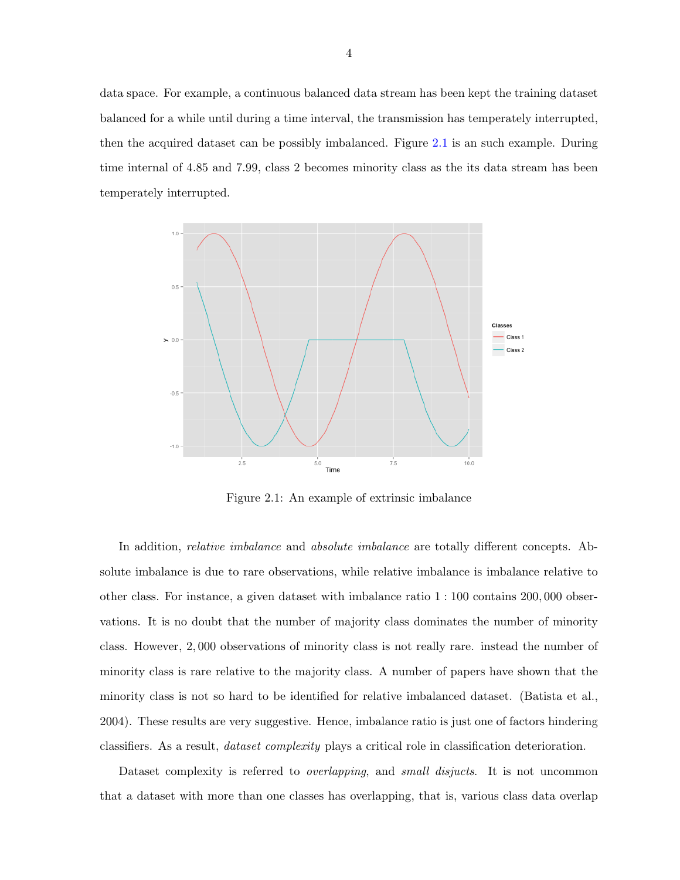<span id="page-9-0"></span>data space. For example, a continuous balanced data stream has been kept the training dataset balanced for a while until during a time interval, the transmission has temperately interrupted, then the acquired dataset can be possibly imbalanced. Figure 2.1 is an such example. During time internal of 4.85 and 7.99, class 2 becomes minority class as the its data stream has been temperately interrupted.



Figure 2.1: An example of extrinsic imbalance

In addition, *relative imbalance* and *absolute imbalance* are totally different concepts. Absolute imbalance is due to rare observations, while relative imbalance is imbalance relative to other class. For instance, a given dataset with imbalance ratio 1 : 100 contains 200, 000 observations. It is no doubt that the number of majority class dominates the number of minority class. However, 2, 000 observations of minority class is not really rare. instead the number of minority class is rare relative to the majority class. A number of papers have shown that the minority class is not so hard to be identified for relative imbalanced dataset. (Batista et al., 2004). These results are very suggestive. Hence, imbalance ratio is just one of factors hindering classifiers. As a result, dataset complexity plays a critical role in classification deterioration.

Dataset complexity is referred to *overlapping*, and *small disjucts*. It is not uncommon that a dataset with more than one classes has overlapping, that is, various class data overlap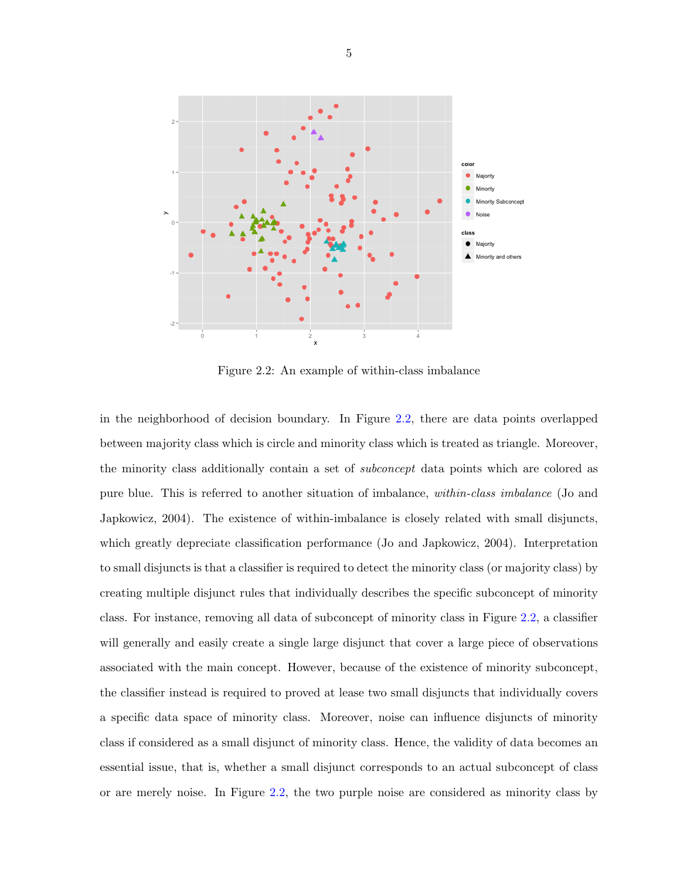<span id="page-10-0"></span>

Figure 2.2: An example of within-class imbalance

in the neighborhood of decision boundary. In Figure 2.2, there are data points overlapped between majority class which is circle and minority class which is treated as triangle. Moreover, the minority class additionally contain a set of subconcept data points which are colored as pure blue. This is referred to another situation of imbalance, within-class imbalance (Jo and Japkowicz, 2004). The existence of within-imbalance is closely related with small disjuncts, which greatly depreciate classification performance (Jo and Japkowicz, 2004). Interpretation to small disjuncts is that a classifier is required to detect the minority class (or majority class) by creating multiple disjunct rules that individually describes the specific subconcept of minority class. For instance, removing all data of subconcept of minority class in Figure 2.2, a classifier will generally and easily create a single large disjunct that cover a large piece of observations associated with the main concept. However, because of the existence of minority subconcept, the classifier instead is required to proved at lease two small disjuncts that individually covers a specific data space of minority class. Moreover, noise can influence disjuncts of minority class if considered as a small disjunct of minority class. Hence, the validity of data becomes an essential issue, that is, whether a small disjunct corresponds to an actual subconcept of class or are merely noise. In Figure 2.2, the two purple noise are considered as minority class by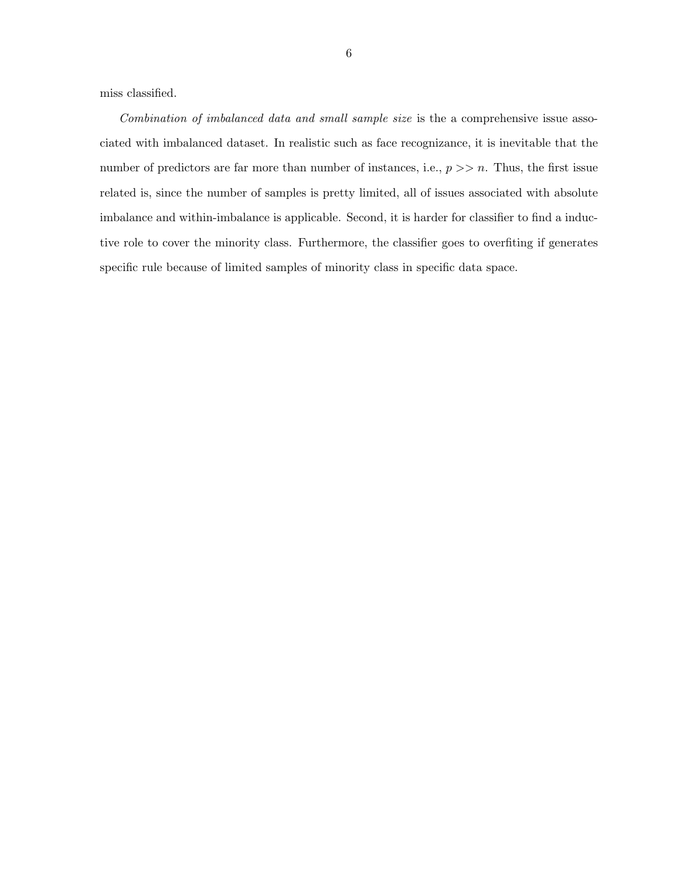miss classified.

Combination of imbalanced data and small sample size is the a comprehensive issue associated with imbalanced dataset. In realistic such as face recognizance, it is inevitable that the number of predictors are far more than number of instances, i.e.,  $p \gg n$ . Thus, the first issue related is, since the number of samples is pretty limited, all of issues associated with absolute imbalance and within-imbalance is applicable. Second, it is harder for classifier to find a inductive role to cover the minority class. Furthermore, the classifier goes to overfiting if generates specific rule because of limited samples of minority class in specific data space.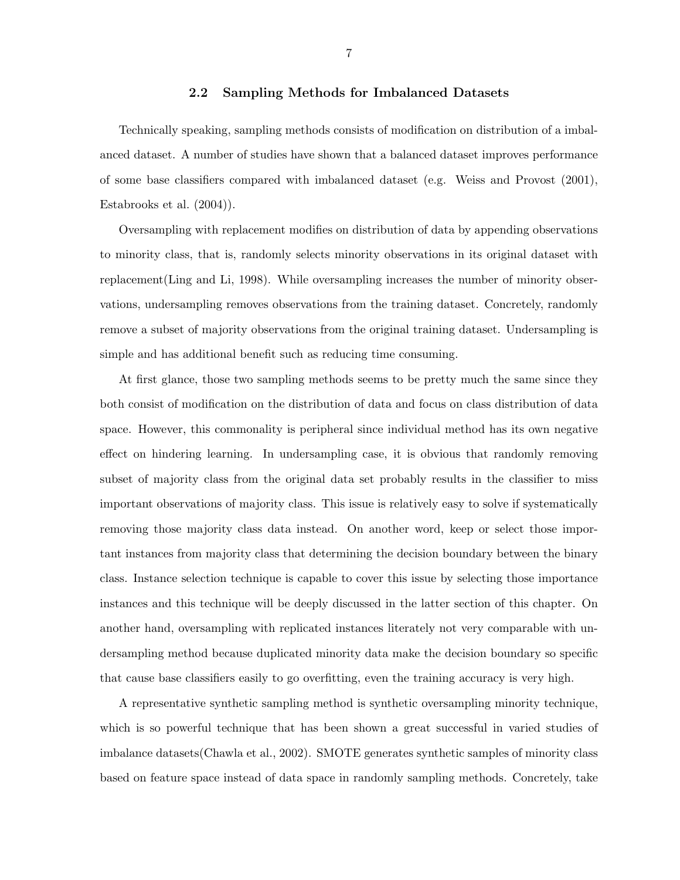#### 2.2 Sampling Methods for Imbalanced Datasets

<span id="page-12-0"></span>Technically speaking, sampling methods consists of modification on distribution of a imbalanced dataset. A number of studies have shown that a balanced dataset improves performance of some base classifiers compared with imbalanced dataset (e.g. Weiss and Provost (2001), Estabrooks et al. (2004)).

Oversampling with replacement modifies on distribution of data by appending observations to minority class, that is, randomly selects minority observations in its original dataset with replacement(Ling and Li, 1998). While oversampling increases the number of minority observations, undersampling removes observations from the training dataset. Concretely, randomly remove a subset of majority observations from the original training dataset. Undersampling is simple and has additional benefit such as reducing time consuming.

At first glance, those two sampling methods seems to be pretty much the same since they both consist of modification on the distribution of data and focus on class distribution of data space. However, this commonality is peripheral since individual method has its own negative effect on hindering learning. In undersampling case, it is obvious that randomly removing subset of majority class from the original data set probably results in the classifier to miss important observations of majority class. This issue is relatively easy to solve if systematically removing those majority class data instead. On another word, keep or select those important instances from majority class that determining the decision boundary between the binary class. Instance selection technique is capable to cover this issue by selecting those importance instances and this technique will be deeply discussed in the latter section of this chapter. On another hand, oversampling with replicated instances literately not very comparable with undersampling method because duplicated minority data make the decision boundary so specific that cause base classifiers easily to go overfitting, even the training accuracy is very high.

A representative synthetic sampling method is synthetic oversampling minority technique, which is so powerful technique that has been shown a great successful in varied studies of imbalance datasets(Chawla et al., 2002). SMOTE generates synthetic samples of minority class based on feature space instead of data space in randomly sampling methods. Concretely, take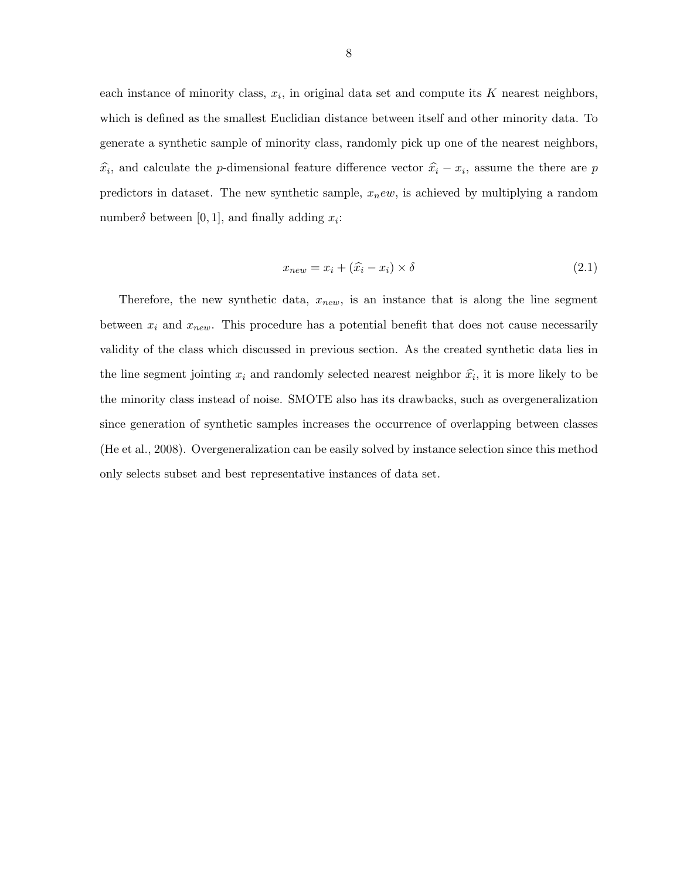each instance of minority class,  $x_i$ , in original data set and compute its K nearest neighbors, which is defined as the smallest Euclidian distance between itself and other minority data. To generate a synthetic sample of minority class, randomly pick up one of the nearest neighbors,  $\hat{x}_i$ , and calculate the p-dimensional feature difference vector  $\hat{x}_i - x_i$ , assume the there are p predictors in dataset. The new synthetic sample,  $x_new$ , is achieved by multiplying a random number $\delta$  between [0, 1], and finally adding  $x_i$ :

$$
x_{new} = x_i + (\hat{x}_i - x_i) \times \delta \tag{2.1}
$$

Therefore, the new synthetic data,  $x_{new}$ , is an instance that is along the line segment between  $x_i$  and  $x_{new}$ . This procedure has a potential benefit that does not cause necessarily validity of the class which discussed in previous section. As the created synthetic data lies in the line segment jointing  $x_i$  and randomly selected nearest neighbor  $\hat{x_i}$ , it is more likely to be the minority class instead of noise. SMOTE also has its drawbacks, such as overgeneralization since generation of synthetic samples increases the occurrence of overlapping between classes (He et al., 2008). Overgeneralization can be easily solved by instance selection since this method only selects subset and best representative instances of data set.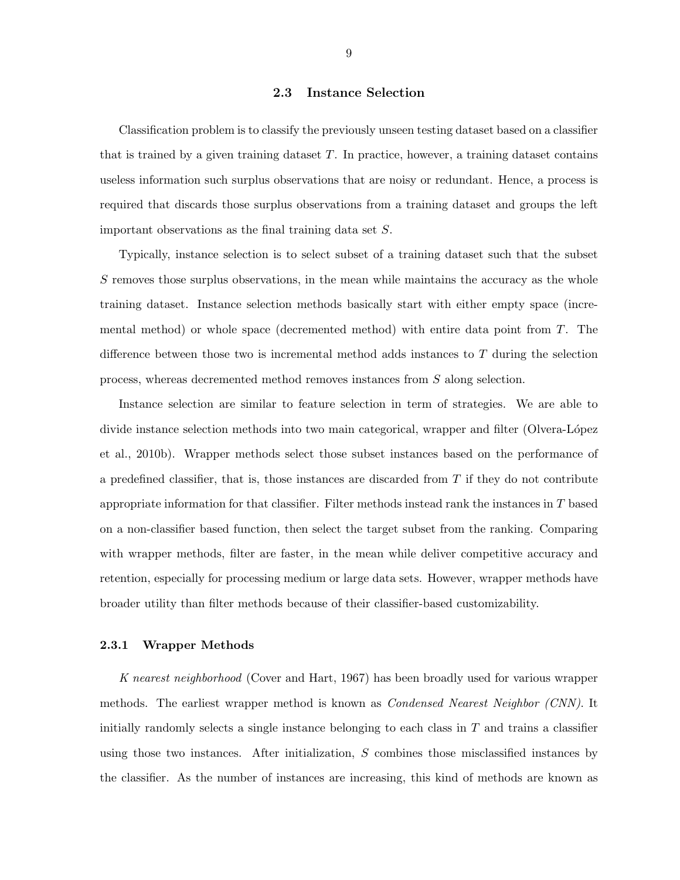#### 2.3 Instance Selection

<span id="page-14-0"></span>Classification problem is to classify the previously unseen testing dataset based on a classifier that is trained by a given training dataset  $T$ . In practice, however, a training dataset contains useless information such surplus observations that are noisy or redundant. Hence, a process is required that discards those surplus observations from a training dataset and groups the left important observations as the final training data set S.

Typically, instance selection is to select subset of a training dataset such that the subset S removes those surplus observations, in the mean while maintains the accuracy as the whole training dataset. Instance selection methods basically start with either empty space (incremental method) or whole space (decremented method) with entire data point from T. The difference between those two is incremental method adds instances to  $T$  during the selection process, whereas decremented method removes instances from S along selection.

Instance selection are similar to feature selection in term of strategies. We are able to divide instance selection methods into two main categorical, wrapper and filter (Olvera-López et al., 2010b). Wrapper methods select those subset instances based on the performance of a predefined classifier, that is, those instances are discarded from  $T$  if they do not contribute appropriate information for that classifier. Filter methods instead rank the instances in T based on a non-classifier based function, then select the target subset from the ranking. Comparing with wrapper methods, filter are faster, in the mean while deliver competitive accuracy and retention, especially for processing medium or large data sets. However, wrapper methods have broader utility than filter methods because of their classifier-based customizability.

#### 2.3.1 Wrapper Methods

K nearest neighborhood (Cover and Hart, 1967) has been broadly used for various wrapper methods. The earliest wrapper method is known as *Condensed Nearest Neighbor (CNN)*. It initially randomly selects a single instance belonging to each class in  $T$  and trains a classifier using those two instances. After initialization,  $S$  combines those misclassified instances by the classifier. As the number of instances are increasing, this kind of methods are known as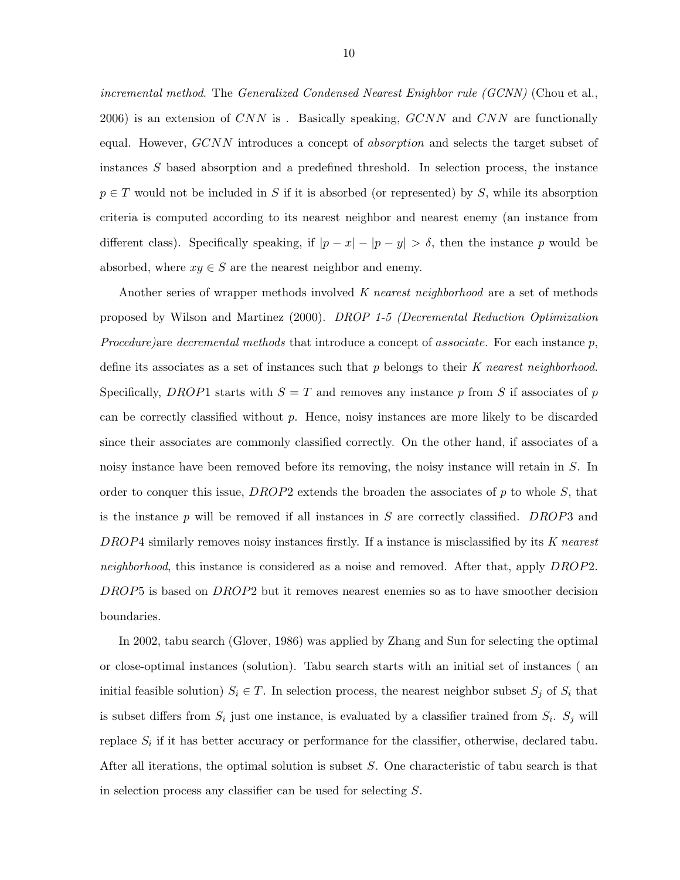incremental method. The Generalized Condensed Nearest Enighbor rule (GCNN) (Chou et al., 2006) is an extension of CNN is. Basically speaking,  $GCNN$  and CNN are functionally equal. However, GCNN introduces a concept of *absorption* and selects the target subset of instances S based absorption and a predefined threshold. In selection process, the instance  $p \in T$  would not be included in S if it is absorbed (or represented) by S, while its absorption criteria is computed according to its nearest neighbor and nearest enemy (an instance from different class). Specifically speaking, if  $|p - x| - |p - y| > \delta$ , then the instance p would be absorbed, where  $xy \in S$  are the nearest neighbor and enemy.

Another series of wrapper methods involved K nearest neighborhood are a set of methods proposed by Wilson and Martinez (2000). DROP 1-5 (Decremental Reduction Optimization *Procedure*)are *decremental methods* that introduce a concept of *associate*. For each instance  $p$ , define its associates as a set of instances such that  $p$  belongs to their K nearest neighborhood. Specifically, DROP1 starts with  $S = T$  and removes any instance p from S if associates of p can be correctly classified without  $p$ . Hence, noisy instances are more likely to be discarded since their associates are commonly classified correctly. On the other hand, if associates of a noisy instance have been removed before its removing, the noisy instance will retain in S. In order to conquer this issue, DROP2 extends the broaden the associates of  $p$  to whole  $S$ , that is the instance  $p$  will be removed if all instances in  $S$  are correctly classified. DROP3 and DROP4 similarly removes noisy instances firstly. If a instance is misclassified by its K nearest neighborhood, this instance is considered as a noise and removed. After that, apply DROP2. DROP5 is based on DROP2 but it removes nearest enemies so as to have smoother decision boundaries.

In 2002, tabu search (Glover, 1986) was applied by Zhang and Sun for selecting the optimal or close-optimal instances (solution). Tabu search starts with an initial set of instances ( an initial feasible solution)  $S_i \in T$ . In selection process, the nearest neighbor subset  $S_j$  of  $S_i$  that is subset differs from  $S_i$  just one instance, is evaluated by a classifier trained from  $S_i$ .  $S_j$  will replace  $S_i$  if it has better accuracy or performance for the classifier, otherwise, declared tabu. After all iterations, the optimal solution is subset S. One characteristic of tabu search is that in selection process any classifier can be used for selecting S.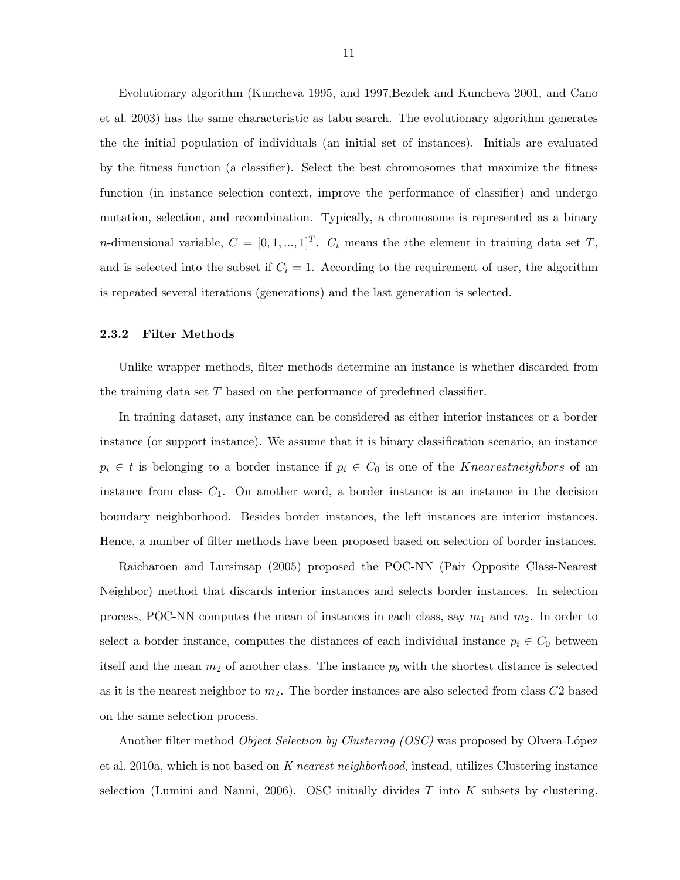<span id="page-16-0"></span>Evolutionary algorithm (Kuncheva 1995, and 1997,Bezdek and Kuncheva 2001, and Cano et al. 2003) has the same characteristic as tabu search. The evolutionary algorithm generates the the initial population of individuals (an initial set of instances). Initials are evaluated by the fitness function (a classifier). Select the best chromosomes that maximize the fitness function (in instance selection context, improve the performance of classifier) and undergo mutation, selection, and recombination. Typically, a chromosome is represented as a binary *n*-dimensional variable,  $C = [0, 1, ..., 1]^T$ .  $C_i$  means the *i*the element in training data set T, and is selected into the subset if  $C_i = 1$ . According to the requirement of user, the algorithm is repeated several iterations (generations) and the last generation is selected.

#### 2.3.2 Filter Methods

Unlike wrapper methods, filter methods determine an instance is whether discarded from the training data set T based on the performance of predefined classifier.

In training dataset, any instance can be considered as either interior instances or a border instance (or support instance). We assume that it is binary classification scenario, an instance  $p_i \in t$  is belonging to a border instance if  $p_i \in C_0$  is one of the *Knearestneighbors* of an instance from class  $C_1$ . On another word, a border instance is an instance in the decision boundary neighborhood. Besides border instances, the left instances are interior instances. Hence, a number of filter methods have been proposed based on selection of border instances.

Raicharoen and Lursinsap (2005) proposed the POC-NN (Pair Opposite Class-Nearest Neighbor) method that discards interior instances and selects border instances. In selection process, POC-NN computes the mean of instances in each class, say  $m_1$  and  $m_2$ . In order to select a border instance, computes the distances of each individual instance  $p_i \in C_0$  between itself and the mean  $m_2$  of another class. The instance  $p_b$  with the shortest distance is selected as it is the nearest neighbor to  $m_2$ . The border instances are also selected from class  $C_2$  based on the same selection process.

Another filter method *Object Selection by Clustering (OSC)* was proposed by Olvera-López et al. 2010a, which is not based on K nearest neighborhood, instead, utilizes Clustering instance selection (Lumini and Nanni, 2006). OSC initially divides  $T$  into  $K$  subsets by clustering.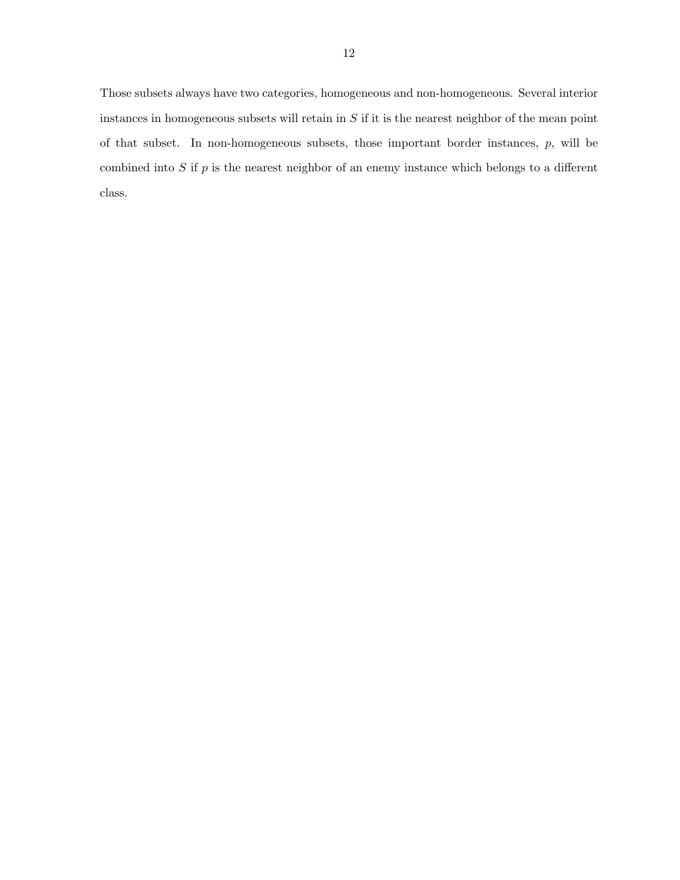Those subsets always have two categories, homogeneous and non-homogeneous. Several interior instances in homogeneous subsets will retain in  $S$  if it is the nearest neighbor of the mean point of that subset. In non-homogeneous subsets, those important border instances,  $p$ , will be combined into  $S$  if  $p$  is the nearest neighbor of an enemy instance which belongs to a different class.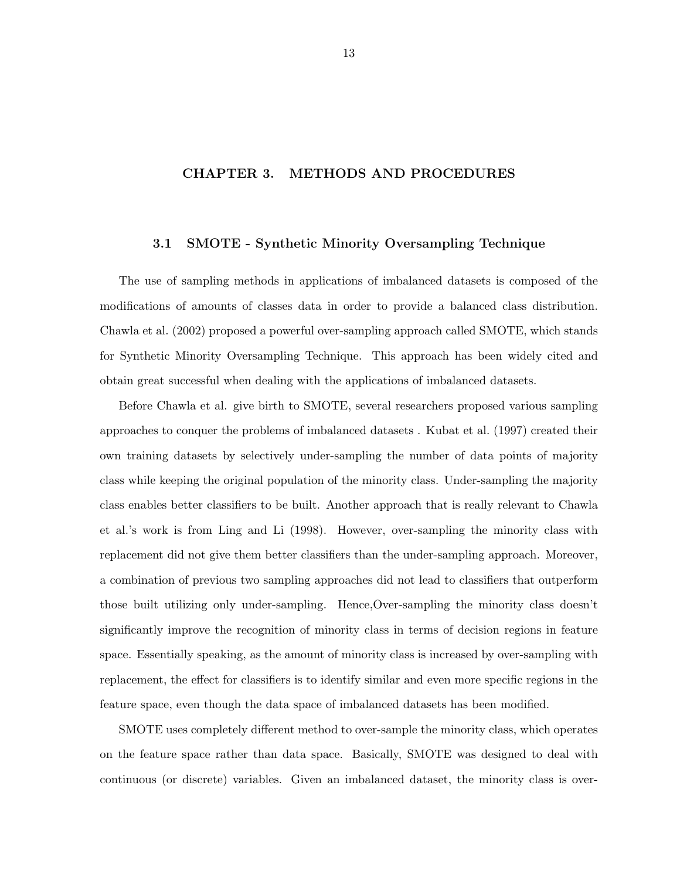## <span id="page-18-0"></span>CHAPTER 3. METHODS AND PROCEDURES

#### 3.1 SMOTE - Synthetic Minority Oversampling Technique

The use of sampling methods in applications of imbalanced datasets is composed of the modifications of amounts of classes data in order to provide a balanced class distribution. Chawla et al. (2002) proposed a powerful over-sampling approach called SMOTE, which stands for Synthetic Minority Oversampling Technique. This approach has been widely cited and obtain great successful when dealing with the applications of imbalanced datasets.

Before Chawla et al. give birth to SMOTE, several researchers proposed various sampling approaches to conquer the problems of imbalanced datasets . Kubat et al. (1997) created their own training datasets by selectively under-sampling the number of data points of majority class while keeping the original population of the minority class. Under-sampling the majority class enables better classifiers to be built. Another approach that is really relevant to Chawla et al.'s work is from Ling and Li (1998). However, over-sampling the minority class with replacement did not give them better classifiers than the under-sampling approach. Moreover, a combination of previous two sampling approaches did not lead to classifiers that outperform those built utilizing only under-sampling. Hence,Over-sampling the minority class doesn't significantly improve the recognition of minority class in terms of decision regions in feature space. Essentially speaking, as the amount of minority class is increased by over-sampling with replacement, the effect for classifiers is to identify similar and even more specific regions in the feature space, even though the data space of imbalanced datasets has been modified.

SMOTE uses completely different method to over-sample the minority class, which operates on the feature space rather than data space. Basically, SMOTE was designed to deal with continuous (or discrete) variables. Given an imbalanced dataset, the minority class is over-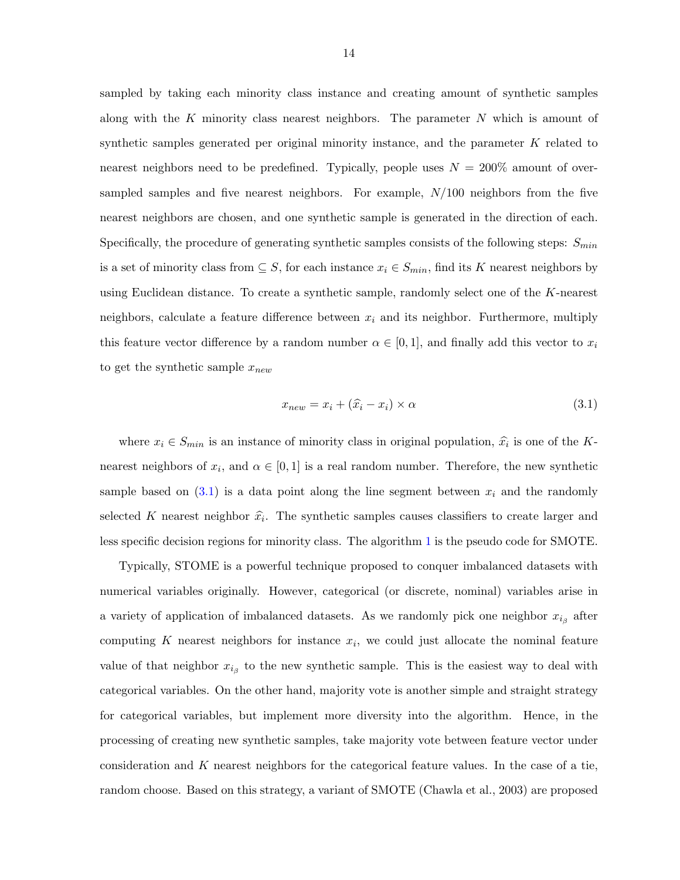sampled by taking each minority class instance and creating amount of synthetic samples along with the K minority class nearest neighbors. The parameter  $N$  which is amount of synthetic samples generated per original minority instance, and the parameter  $K$  related to nearest neighbors need to be predefined. Typically, people uses  $N = 200\%$  amount of oversampled samples and five nearest neighbors. For example,  $N/100$  neighbors from the five nearest neighbors are chosen, and one synthetic sample is generated in the direction of each. Specifically, the procedure of generating synthetic samples consists of the following steps:  $S_{min}$ is a set of minority class from  $\subseteq S$ , for each instance  $x_i \in S_{min}$ , find its K nearest neighbors by using Euclidean distance. To create a synthetic sample, randomly select one of the K-nearest neighbors, calculate a feature difference between  $x_i$  and its neighbor. Furthermore, multiply this feature vector difference by a random number  $\alpha \in [0,1]$ , and finally add this vector to  $x_i$ to get the synthetic sample  $x_{new}$ 

$$
x_{new} = x_i + (\hat{x}_i - x_i) \times \alpha \tag{3.1}
$$

where  $x_i \in S_{min}$  is an instance of minority class in original population,  $\hat{x_i}$  is one of the Knearest neighbors of  $x_i$ , and  $\alpha \in [0,1]$  is a real random number. Therefore, the new synthetic sample based on  $(3.1)$  is a data point along the line segment between  $x_i$  and the randomly selected K nearest neighbor  $\hat{x}_i$ . The synthetic samples causes classifiers to create larger and less specific decision regions for minority class. The algorithm [1](#page-20-0) is the pseudo code for SMOTE.

Typically, STOME is a powerful technique proposed to conquer imbalanced datasets with numerical variables originally. However, categorical (or discrete, nominal) variables arise in a variety of application of imbalanced datasets. As we randomly pick one neighbor  $x_{i_{\beta}}$  after computing K nearest neighbors for instance  $x_i$ , we could just allocate the nominal feature value of that neighbor  $x_{i_{\beta}}$  to the new synthetic sample. This is the easiest way to deal with categorical variables. On the other hand, majority vote is another simple and straight strategy for categorical variables, but implement more diversity into the algorithm. Hence, in the processing of creating new synthetic samples, take majority vote between feature vector under consideration and K nearest neighbors for the categorical feature values. In the case of a tie, random choose. Based on this strategy, a variant of SMOTE (Chawla et al., 2003) are proposed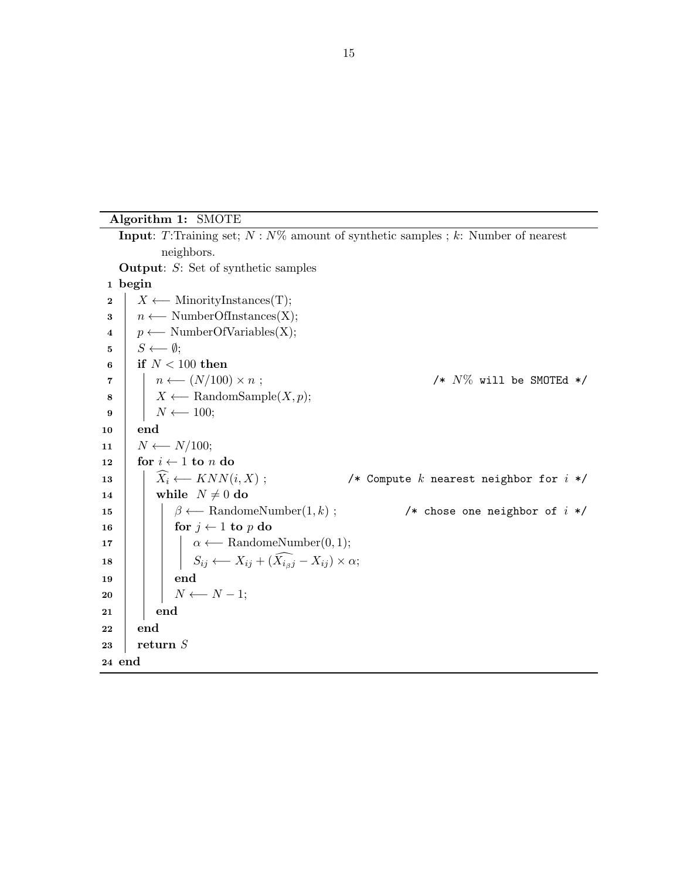<span id="page-20-0"></span>Algorithm 1: SMOTE

**Input:** T:Training set;  $N: N\%$  amount of synthetic samples; k: Number of nearest neighbors. Output: S: Set of synthetic samples 1 begin 2 |  $X \longleftarrow$  MinorityInstances(T);  $\mathbf{3}$  |  $n \leftarrow \text{NumberOfInstances}(X);$ 4  $p \leftarrow \text{NumberOfVariables}(X);$  $\mathbf{5}$  |  $S \longleftarrow \emptyset;$ 6 if  $N < 100$  then  $7 \mid \quad \mid \quad n \longleftarrow (N/100) \times n ;$  /\* N% will be SMOTEd \*/ 8 |  $X \leftarrow$  RandomSample(*X, p*);  $\mathbf{9}$  |  $N \leftarrow 100;$ 10 end 11 |  $N \longleftarrow N/100;$ 12 for  $i \leftarrow 1$  to n do 13  $\begin{array}{|l|l|}\n\hline\n13 & \hat{X}_i \longleftarrow KNN(i, X); \\
\hline\n14 & \text{while } N \neq 0 \text{ do}\n\end{array}$  /\* Compute k nearest neighbor for  $i * /$ while  $N \neq 0$  do 15 | |  $\beta \leftarrow$  RandomeNumber(1, k); /\* chose one neighbor of i \*/ 16  $\vert \vert$  for  $j \leftarrow 1$  to p do 17 | |  $\alpha \leftarrow \text{RandomeNumber}(0, 1);$ 18  $\Big|\Big|\Big|$   $S_{ij} \longleftarrow X_{ij} + (\widehat{X_{i_{\beta}j}} - X_{ij}) \times \alpha;$  $19$  end  $20$  | |  $N \leftarrow N-1;$  $21$  end 22 end  $23$  return S 24 end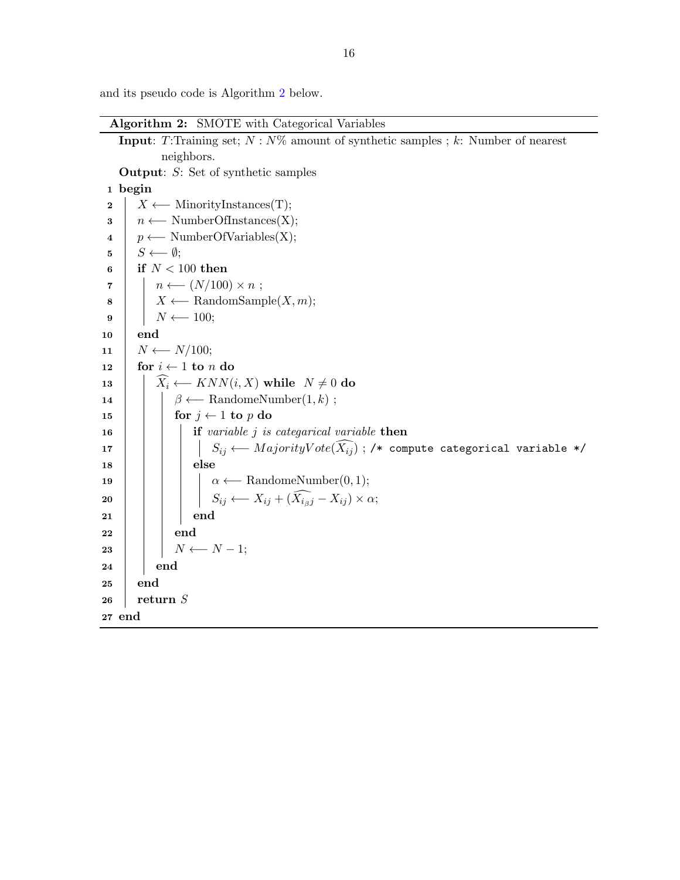<span id="page-21-0"></span>and its pseudo code is Algorithm 2 below.

Algorithm 2: SMOTE with Categorical Variables

```
Input: T:Training set; N: N\% amount of synthetic samples ; k: Number of nearest
              neighbors.
    Output: S: Set of synthetic samples
 1 begin
 2 \mid X \longleftarrow MinorityInstances(T);
 3 | n \leftarrow NumberOfInstances(X);
 4 p \leftarrow \text{NumberOfVariables}(X);\mathbf{5} | S \longleftarrow \emptyset;6 if N < 100 then
 \tau | n \leftarrow (N/100) \times n;
 8 | X \leftarrow RandomSample(X, m);
 9 | | N \leftarrow 100;10 end
11 | N \leftarrow N/100;12 for i \leftarrow 1 to n do
13 \left|\right| \widehat{X}_i \longleftarrow KNN(i, X) while N \neq 0 do
14 | \beta \leftarrow \text{RandomeNumber}(1, k);15 \vert \vert for j \leftarrow 1 to p do
16 if variable j is categarical variable then
17 \begin{array}{|c|c|c|c|}\hline \rule{0pt}{1ex} & & \end{array} \begin{array}{|c|c|c|}\hline \rule{0pt}{1ex} & & \end{array} S_{ij} \longleftarrow \textit{MajorityVote}(\widehat{X_{ij}}) ; /* compute categorical variable */
18 | | | else
19 | | \alpha \leftarrow \text{RandomeNumber}(0, 1);20 \begin{array}{|c|c|c|c|}\n\hline\n\end{array} S_{ij} \longleftarrow X_{ij} + (\widehat{X_{i \beta j}} - X_{ij}) \times \alpha;21 | | | end
22 end
23 \vert \vert N \leftarrow N-1;24 end
25 end
26 return S
27 end
```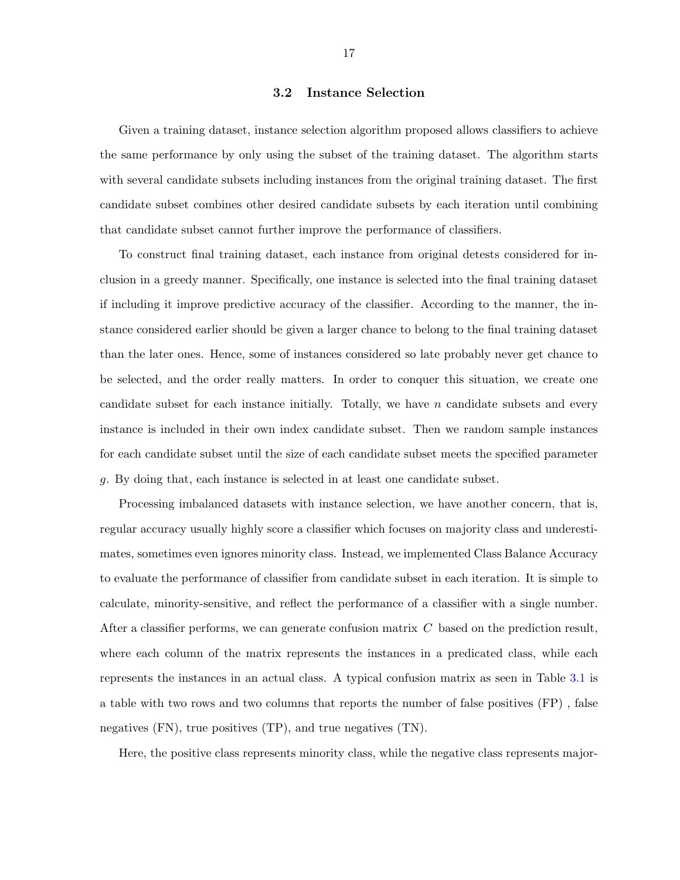#### 3.2 Instance Selection

<span id="page-22-0"></span>Given a training dataset, instance selection algorithm proposed allows classifiers to achieve the same performance by only using the subset of the training dataset. The algorithm starts with several candidate subsets including instances from the original training dataset. The first candidate subset combines other desired candidate subsets by each iteration until combining that candidate subset cannot further improve the performance of classifiers.

To construct final training dataset, each instance from original detests considered for inclusion in a greedy manner. Specifically, one instance is selected into the final training dataset if including it improve predictive accuracy of the classifier. According to the manner, the instance considered earlier should be given a larger chance to belong to the final training dataset than the later ones. Hence, some of instances considered so late probably never get chance to be selected, and the order really matters. In order to conquer this situation, we create one candidate subset for each instance initially. Totally, we have  $n$  candidate subsets and every instance is included in their own index candidate subset. Then we random sample instances for each candidate subset until the size of each candidate subset meets the specified parameter g. By doing that, each instance is selected in at least one candidate subset.

Processing imbalanced datasets with instance selection, we have another concern, that is, regular accuracy usually highly score a classifier which focuses on majority class and underestimates, sometimes even ignores minority class. Instead, we implemented Class Balance Accuracy to evaluate the performance of classifier from candidate subset in each iteration. It is simple to calculate, minority-sensitive, and reflect the performance of a classifier with a single number. After a classifier performs, we can generate confusion matrix  $C$  based on the prediction result, where each column of the matrix represents the instances in a predicated class, while each represents the instances in an actual class. A typical confusion matrix as seen in Table [3.1](#page-23-0) is a table with two rows and two columns that reports the number of false positives (FP) , false negatives (FN), true positives (TP), and true negatives (TN).

Here, the positive class represents minority class, while the negative class represents major-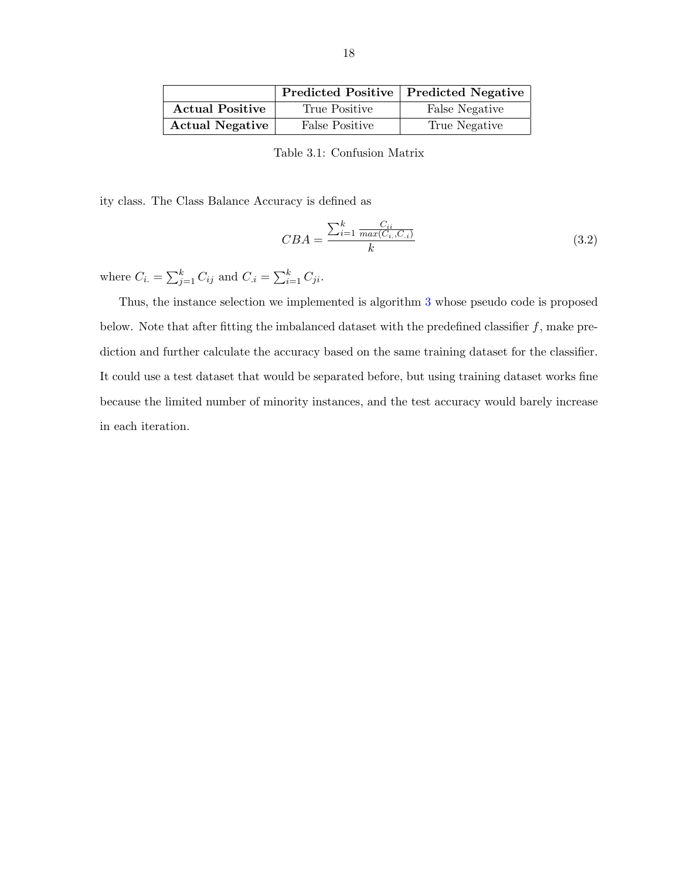<span id="page-23-0"></span>

|                        |                       | <b>Predicted Positive   Predicted Negative</b> |
|------------------------|-----------------------|------------------------------------------------|
| <b>Actual Positive</b> | True Positive         | False Negative                                 |
| <b>Actual Negative</b> | <b>False Positive</b> | True Negative                                  |

Table 3.1: Confusion Matrix

ity class. The Class Balance Accuracy is defined as

$$
CBA = \frac{\sum_{i=1}^{k} \frac{C_{ii}}{max(C_{i.}, C_{.i})}}{k} \tag{3.2}
$$

where  $C_{i.} = \sum_{j=1}^{k} C_{ij}$  and  $C_{.i} = \sum_{i=1}^{k} C_{ji}$ .

Thus, the instance selection we implemented is algorithm [3](#page-24-0) whose pseudo code is proposed below. Note that after fitting the imbalanced dataset with the predefined classifier  $f$ , make prediction and further calculate the accuracy based on the same training dataset for the classifier. It could use a test dataset that would be separated before, but using training dataset works fine because the limited number of minority instances, and the test accuracy would barely increase in each iteration.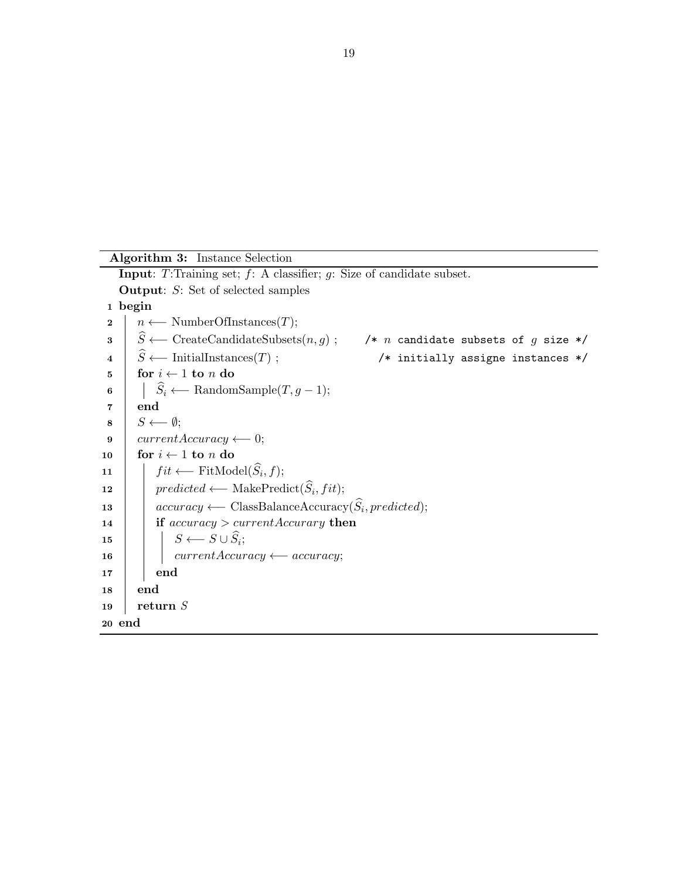```
Algorithm 3: Instance Selection
    Input: T:Training set; f: A classifier; g: Size of candidate subset.
    Output: S: Set of selected samples
 1 begin
 2 | n \leftarrow NumberOfInstances(T);
 3 \hat{S} \longleftarrow CreateCandidateSubsets(n, g); /* n candidate subsets of g size */<br>4 \hat{S} \longleftarrow InitialInstances(T); /* initially assigne instances */
 4 \overrightarrow{S} ← InitialInstances(T); /* initially assigne instances */<br>5 for i \leftarrow 1 to n do
        for i \leftarrow 1 to n do
 6 \begin{array}{|l|}\n\hline\n\end{array} \begin{array}{c|l}\n\hline\nS_i \longleftarrow \text{RandomSample}(T, g - 1); \n\end{array}end
 \mathbf{s} | S \longleftarrow \emptyset;9 currentAccuracy \leftarrow 0;10 for i \leftarrow 1 to n do
11 \left| \quad \right| fit ← FitModel(S_i, f);
12 | predicted ← MakePredict(S_i, fit);
13 \alpha accuracy ← ClassBalanceAccuracy(S<sub>i</sub>, predicted);
14 if accuracy > currentAccuracy then
\begin{array}{c|c|c|c} \textbf{15} & & S & \rightarrow S \cup S_i; \end{array}16 \vert currentAccuracy ← accuracy;
17 end
18 end
19 | return S20 end
```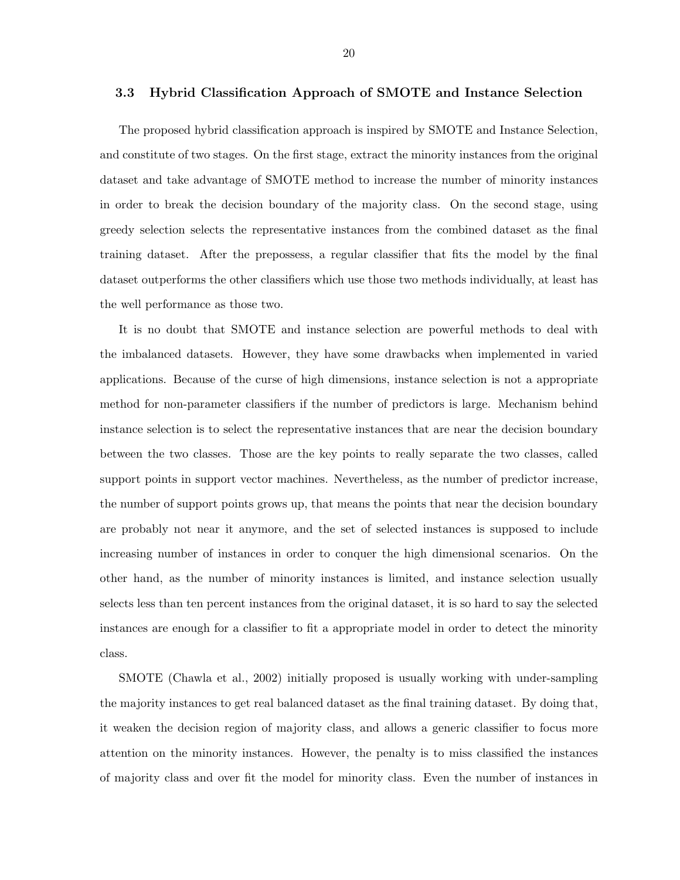#### <span id="page-25-0"></span>3.3 Hybrid Classification Approach of SMOTE and Instance Selection

The proposed hybrid classification approach is inspired by SMOTE and Instance Selection, and constitute of two stages. On the first stage, extract the minority instances from the original dataset and take advantage of SMOTE method to increase the number of minority instances in order to break the decision boundary of the majority class. On the second stage, using greedy selection selects the representative instances from the combined dataset as the final training dataset. After the prepossess, a regular classifier that fits the model by the final dataset outperforms the other classifiers which use those two methods individually, at least has the well performance as those two.

It is no doubt that SMOTE and instance selection are powerful methods to deal with the imbalanced datasets. However, they have some drawbacks when implemented in varied applications. Because of the curse of high dimensions, instance selection is not a appropriate method for non-parameter classifiers if the number of predictors is large. Mechanism behind instance selection is to select the representative instances that are near the decision boundary between the two classes. Those are the key points to really separate the two classes, called support points in support vector machines. Nevertheless, as the number of predictor increase, the number of support points grows up, that means the points that near the decision boundary are probably not near it anymore, and the set of selected instances is supposed to include increasing number of instances in order to conquer the high dimensional scenarios. On the other hand, as the number of minority instances is limited, and instance selection usually selects less than ten percent instances from the original dataset, it is so hard to say the selected instances are enough for a classifier to fit a appropriate model in order to detect the minority class.

SMOTE (Chawla et al., 2002) initially proposed is usually working with under-sampling the majority instances to get real balanced dataset as the final training dataset. By doing that, it weaken the decision region of majority class, and allows a generic classifier to focus more attention on the minority instances. However, the penalty is to miss classified the instances of majority class and over fit the model for minority class. Even the number of instances in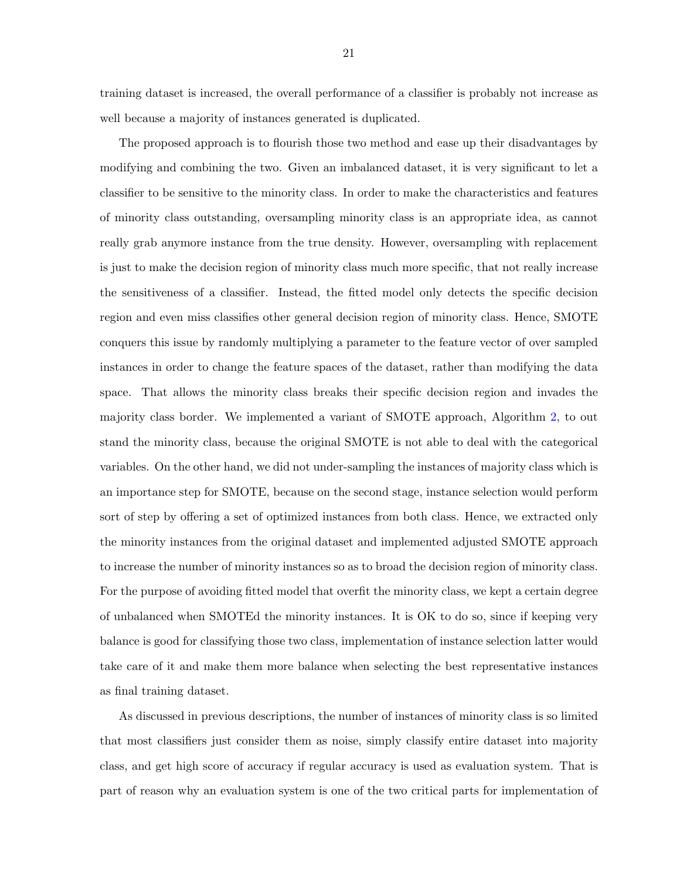training dataset is increased, the overall performance of a classifier is probably not increase as well because a majority of instances generated is duplicated.

The proposed approach is to flourish those two method and ease up their disadvantages by modifying and combining the two. Given an imbalanced dataset, it is very significant to let a classifier to be sensitive to the minority class. In order to make the characteristics and features of minority class outstanding, oversampling minority class is an appropriate idea, as cannot really grab anymore instance from the true density. However, oversampling with replacement is just to make the decision region of minority class much more specific, that not really increase the sensitiveness of a classifier. Instead, the fitted model only detects the specific decision region and even miss classifies other general decision region of minority class. Hence, SMOTE conquers this issue by randomly multiplying a parameter to the feature vector of over sampled instances in order to change the feature spaces of the dataset, rather than modifying the data space. That allows the minority class breaks their specific decision region and invades the majority class border. We implemented a variant of SMOTE approach, Algorithm [2,](#page-21-0) to out stand the minority class, because the original SMOTE is not able to deal with the categorical variables. On the other hand, we did not under-sampling the instances of majority class which is an importance step for SMOTE, because on the second stage, instance selection would perform sort of step by offering a set of optimized instances from both class. Hence, we extracted only the minority instances from the original dataset and implemented adjusted SMOTE approach to increase the number of minority instances so as to broad the decision region of minority class. For the purpose of avoiding fitted model that overfit the minority class, we kept a certain degree of unbalanced when SMOTEd the minority instances. It is OK to do so, since if keeping very balance is good for classifying those two class, implementation of instance selection latter would take care of it and make them more balance when selecting the best representative instances as final training dataset.

As discussed in previous descriptions, the number of instances of minority class is so limited that most classifiers just consider them as noise, simply classify entire dataset into majority class, and get high score of accuracy if regular accuracy is used as evaluation system. That is part of reason why an evaluation system is one of the two critical parts for implementation of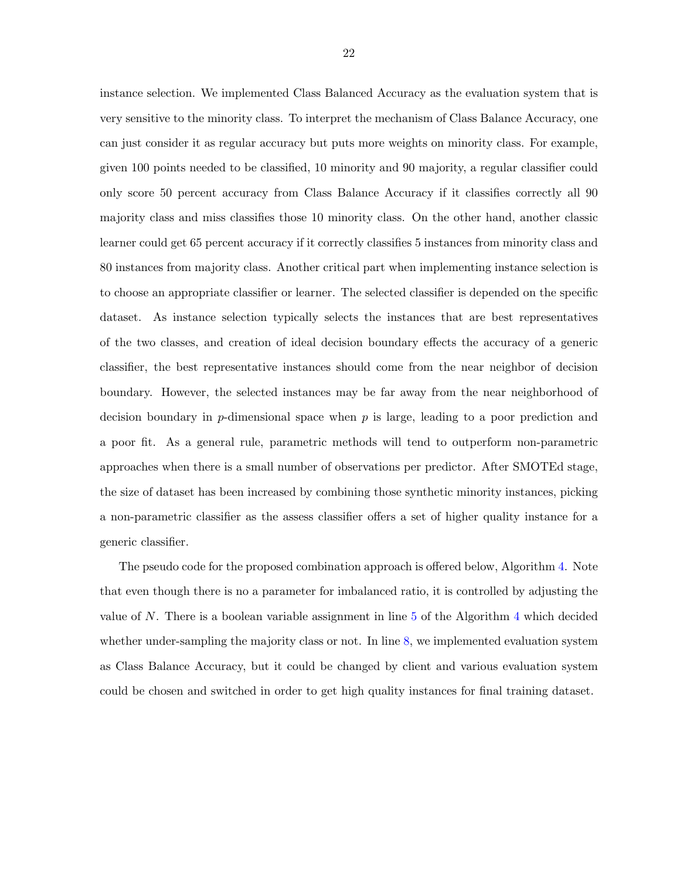instance selection. We implemented Class Balanced Accuracy as the evaluation system that is very sensitive to the minority class. To interpret the mechanism of Class Balance Accuracy, one can just consider it as regular accuracy but puts more weights on minority class. For example, given 100 points needed to be classified, 10 minority and 90 majority, a regular classifier could only score 50 percent accuracy from Class Balance Accuracy if it classifies correctly all 90 majority class and miss classifies those 10 minority class. On the other hand, another classic learner could get 65 percent accuracy if it correctly classifies 5 instances from minority class and 80 instances from majority class. Another critical part when implementing instance selection is to choose an appropriate classifier or learner. The selected classifier is depended on the specific dataset. As instance selection typically selects the instances that are best representatives of the two classes, and creation of ideal decision boundary effects the accuracy of a generic classifier, the best representative instances should come from the near neighbor of decision boundary. However, the selected instances may be far away from the near neighborhood of decision boundary in p-dimensional space when  $p$  is large, leading to a poor prediction and a poor fit. As a general rule, parametric methods will tend to outperform non-parametric approaches when there is a small number of observations per predictor. After SMOTEd stage, the size of dataset has been increased by combining those synthetic minority instances, picking a non-parametric classifier as the assess classifier offers a set of higher quality instance for a generic classifier.

The pseudo code for the proposed combination approach is offered below, Algorithm [4.](#page-28-0) Note that even though there is no a parameter for imbalanced ratio, it is controlled by adjusting the value of N. There is a boolean variable assignment in line  $5$  of the Algorithm  $4$  which decided whether under-sampling the majority class or not. In line [8,](#page-28-0) we implemented evaluation system as Class Balance Accuracy, but it could be changed by client and various evaluation system could be chosen and switched in order to get high quality instances for final training dataset.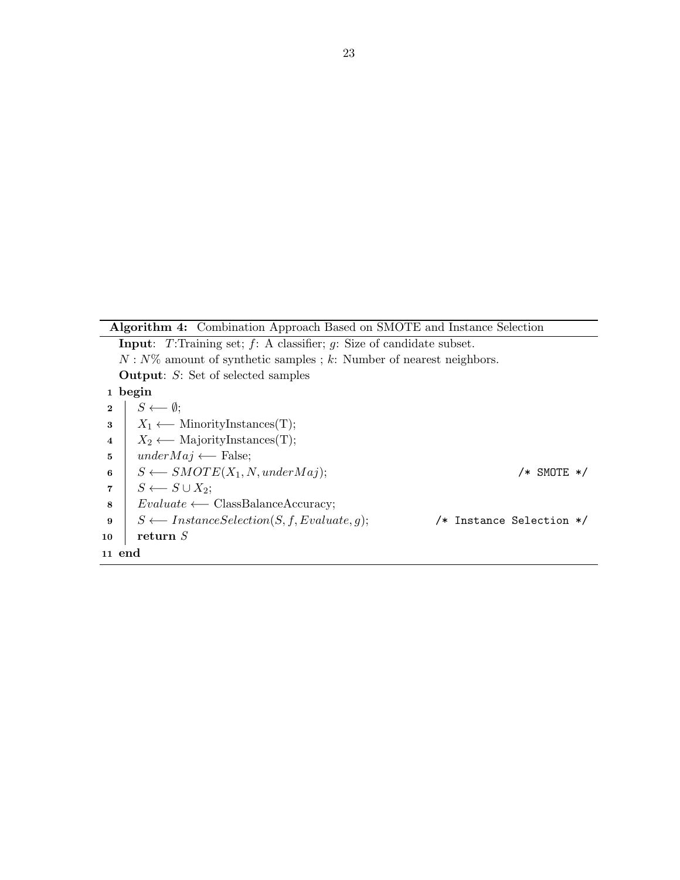<span id="page-28-0"></span>Algorithm 4: Combination Approach Based on SMOTE and Instance Selection

| <b>Input:</b> T:Training set; $f$ : A classifier; $g$ : Size of candidate subset.                    |  |
|------------------------------------------------------------------------------------------------------|--|
| $N: N\%$ amount of synthetic samples; k: Number of nearest neighbors.                                |  |
| <b>Output:</b> $S$ : Set of selected samples                                                         |  |
| 1 begin                                                                                              |  |
| $S \longleftarrow \emptyset;$<br>$\overline{2}$                                                      |  |
| $X_1 \longleftarrow$ MinorityInstances(T);<br>3                                                      |  |
| $X_2 \longleftarrow$ MajorityInstances(T);<br>$\overline{4}$                                         |  |
| $underMaj \longleftarrow$ False;<br>5                                                                |  |
| $S \longleftarrow SMOTE(X_1, N, underMaj);$<br>/* SMOTE */<br>6                                      |  |
| $S \longleftarrow S \cup X_2$ ;<br>7                                                                 |  |
| $Evaluate \longleftarrow \text{ClassBalanceAccuracy};$<br>8                                          |  |
| $S \longleftarrow$ <i>InstanceSelection</i> $(S, f, Evaluate, g)$ ;<br>/* Instance Selection */<br>9 |  |
| return $S$<br>10                                                                                     |  |
| 11 end                                                                                               |  |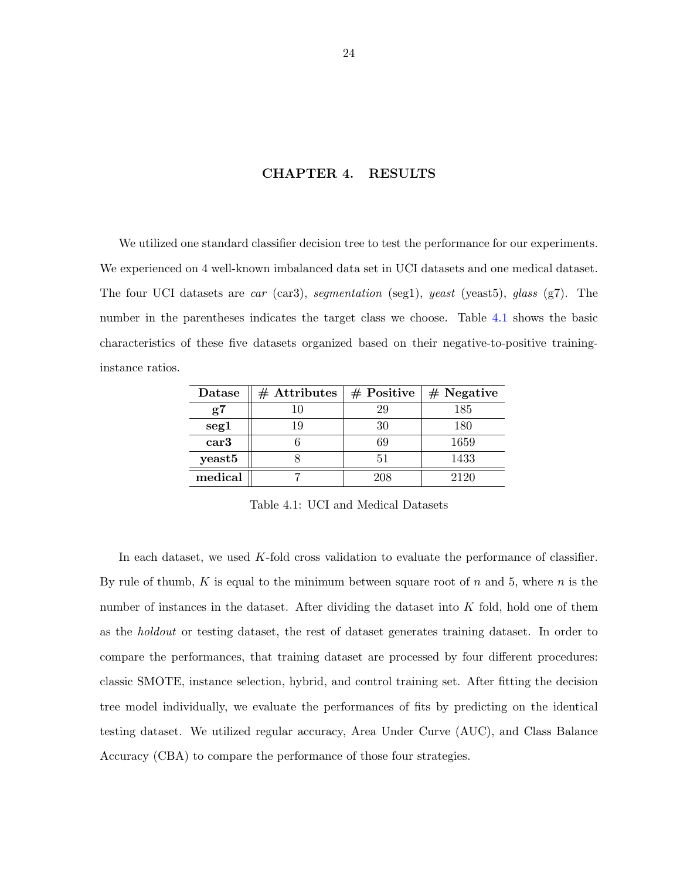## CHAPTER 4. RESULTS

<span id="page-29-0"></span>We utilized one standard classifier decision tree to test the performance for our experiments. We experienced on 4 well-known imbalanced data set in UCI datasets and one medical dataset. The four UCI datasets are car (car3), segmentation (seg1), yeast (yeast5), glass (g7). The number in the parentheses indicates the target class we choose. Table 4.1 shows the basic characteristics of these five datasets organized based on their negative-to-positive traininginstance ratios.

| Datase             | $#$ Attributes | $#$ Positive | $#$ Negative |
|--------------------|----------------|--------------|--------------|
| g7                 | 10             | 29           | 185          |
| seg1               | 19             | 30           | 180          |
| car3               |                | 69           | 1659         |
| yeast <sub>5</sub> |                | 51           | 1433         |
| medical            |                | 208          | 2120         |

Table 4.1: UCI and Medical Datasets

In each dataset, we used K-fold cross validation to evaluate the performance of classifier. By rule of thumb, K is equal to the minimum between square root of  $n$  and 5, where  $n$  is the number of instances in the dataset. After dividing the dataset into K fold, hold one of them as the holdout or testing dataset, the rest of dataset generates training dataset. In order to compare the performances, that training dataset are processed by four different procedures: classic SMOTE, instance selection, hybrid, and control training set. After fitting the decision tree model individually, we evaluate the performances of fits by predicting on the identical testing dataset. We utilized regular accuracy, Area Under Curve (AUC), and Class Balance Accuracy (CBA) to compare the performance of those four strategies.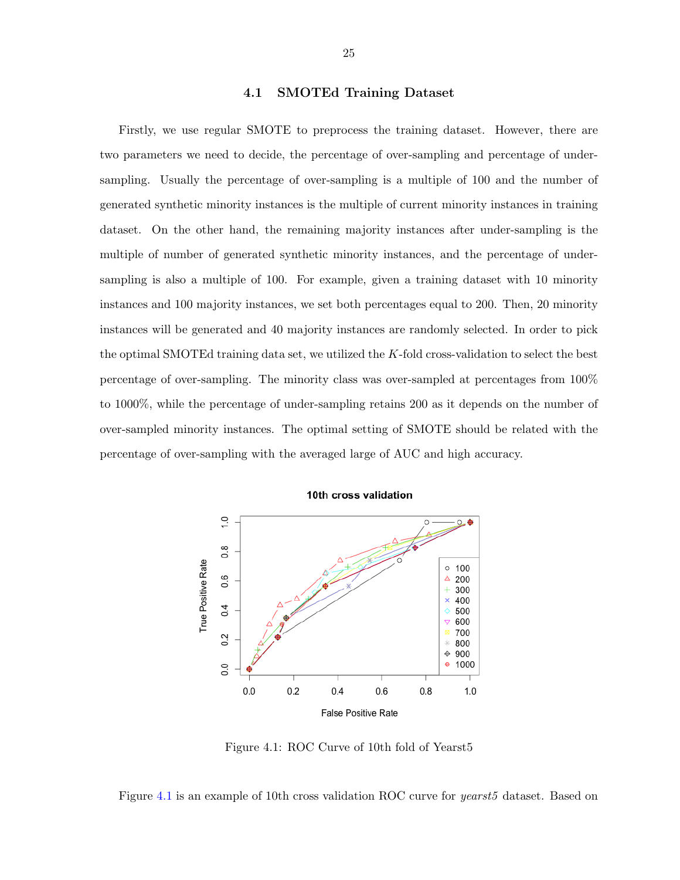#### 4.1 SMOTEd Training Dataset

<span id="page-30-0"></span>Firstly, we use regular SMOTE to preprocess the training dataset. However, there are two parameters we need to decide, the percentage of over-sampling and percentage of undersampling. Usually the percentage of over-sampling is a multiple of 100 and the number of generated synthetic minority instances is the multiple of current minority instances in training dataset. On the other hand, the remaining majority instances after under-sampling is the multiple of number of generated synthetic minority instances, and the percentage of undersampling is also a multiple of 100. For example, given a training dataset with 10 minority instances and 100 majority instances, we set both percentages equal to 200. Then, 20 minority instances will be generated and 40 majority instances are randomly selected. In order to pick the optimal SMOTEd training data set, we utilized the  $K$ -fold cross-validation to select the best percentage of over-sampling. The minority class was over-sampled at percentages from 100% to 1000%, while the percentage of under-sampling retains 200 as it depends on the number of over-sampled minority instances. The optimal setting of SMOTE should be related with the percentage of over-sampling with the averaged large of AUC and high accuracy.



10th cross validation

Figure 4.1: ROC Curve of 10th fold of Yearst5

Figure 4.1 is an example of 10th cross validation ROC curve for yearst5 dataset. Based on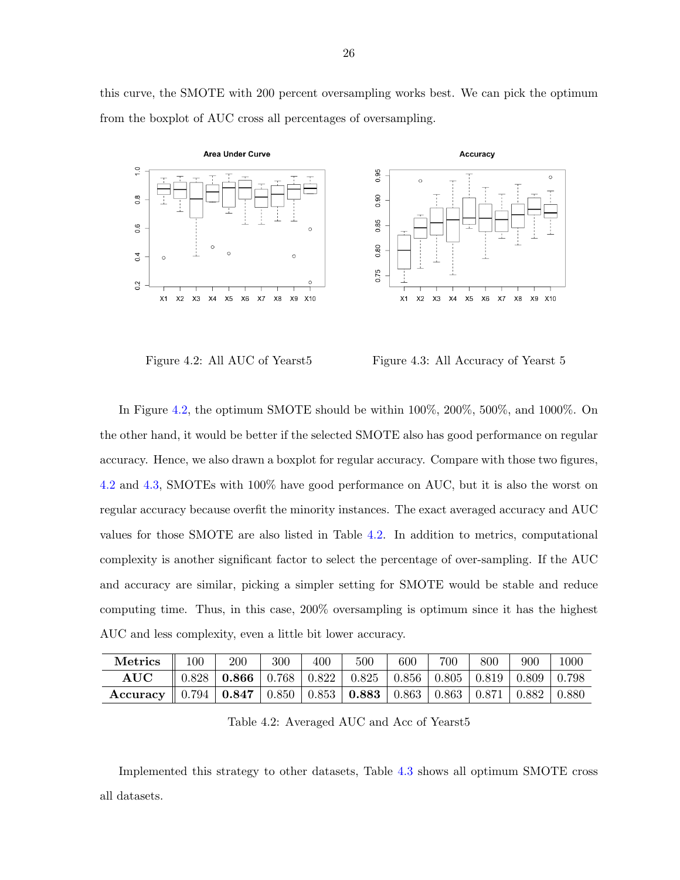<span id="page-31-0"></span>this curve, the SMOTE with 200 percent oversampling works best. We can pick the optimum from the boxplot of AUC cross all percentages of oversampling.



Figure 4.2: All AUC of Yearst 5 Figure 4.3: All Accuracy of Yearst 5

In Figure 4.2, the optimum SMOTE should be within 100%, 200%, 500%, and 1000%. On the other hand, it would be better if the selected SMOTE also has good performance on regular accuracy. Hence, we also drawn a boxplot for regular accuracy. Compare with those two figures, 4.2 and 4.3, SMOTEs with 100% have good performance on AUC, but it is also the worst on regular accuracy because overfit the minority instances. The exact averaged accuracy and AUC values for those SMOTE are also listed in Table 4.2. In addition to metrics, computational complexity is another significant factor to select the percentage of over-sampling. If the AUC and accuracy are similar, picking a simpler setting for SMOTE would be stable and reduce computing time. Thus, in this case, 200% oversampling is optimum since it has the highest AUC and less complexity, even a little bit lower accuracy.

| <b>Metrics</b>                                                                                                                | 100 | 200                                                                                              | 300 | 400 | 500 | 600 | 700 | 800 | 900 | $1000^-$ |
|-------------------------------------------------------------------------------------------------------------------------------|-----|--------------------------------------------------------------------------------------------------|-----|-----|-----|-----|-----|-----|-----|----------|
|                                                                                                                               |     | $\parallel$ 0.828   <b>0.866</b>   0.768   0.822   0.825   0.856   0.805   0.819   0.809   0.798 |     |     |     |     |     |     |     |          |
| Accuracy $\parallel 0.794 \mid 0.847 \mid 0.850 \mid 0.853 \mid 0.883 \mid 0.863 \mid 0.863 \mid 0.871 \mid 0.882 \mid 0.880$ |     |                                                                                                  |     |     |     |     |     |     |     |          |

Table 4.2: Averaged AUC and Acc of Yearst5

Implemented this strategy to other datasets, Table [4.3](#page-32-0) shows all optimum SMOTE cross all datasets.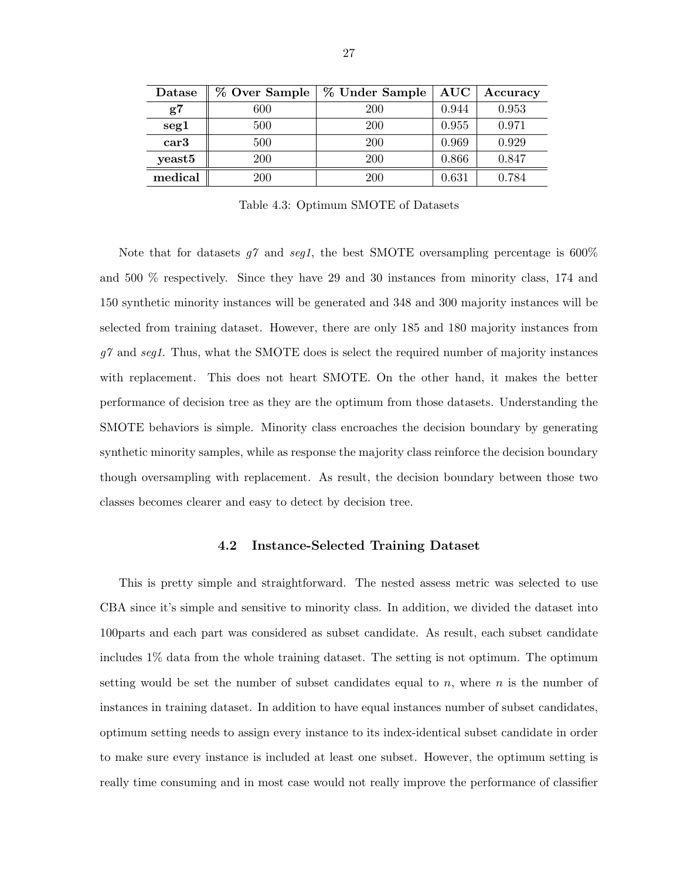<span id="page-32-0"></span>

| Datase  | % Over Sample | % Under Sample | AUC   | Accuracy |
|---------|---------------|----------------|-------|----------|
| g7      | 600           | 200            | 0.944 | 0.953    |
| seg1    | 500           | 200            | 0.955 | 0.971    |
| car3    | 500           | 200            | 0.969 | 0.929    |
| yeast5  | 200           | 200            | 0.866 | 0.847    |
| medical | <b>200</b>    | 200            | 0.631 | 0.784    |

Table 4.3: Optimum SMOTE of Datasets

Note that for datasets  $q\gamma$  and seq1, the best SMOTE oversampling percentage is 600% and 500 % respectively. Since they have 29 and 30 instances from minority class, 174 and 150 synthetic minority instances will be generated and 348 and 300 majority instances will be selected from training dataset. However, there are only 185 and 180 majority instances from  $g\gamma$  and seg1. Thus, what the SMOTE does is select the required number of majority instances with replacement. This does not heart SMOTE. On the other hand, it makes the better performance of decision tree as they are the optimum from those datasets. Understanding the SMOTE behaviors is simple. Minority class encroaches the decision boundary by generating synthetic minority samples, while as response the majority class reinforce the decision boundary though oversampling with replacement. As result, the decision boundary between those two classes becomes clearer and easy to detect by decision tree.

#### 4.2 Instance-Selected Training Dataset

This is pretty simple and straightforward. The nested assess metric was selected to use CBA since it's simple and sensitive to minority class. In addition, we divided the dataset into 100parts and each part was considered as subset candidate. As result, each subset candidate includes 1% data from the whole training dataset. The setting is not optimum. The optimum setting would be set the number of subset candidates equal to  $n$ , where  $n$  is the number of instances in training dataset. In addition to have equal instances number of subset candidates, optimum setting needs to assign every instance to its index-identical subset candidate in order to make sure every instance is included at least one subset. However, the optimum setting is really time consuming and in most case would not really improve the performance of classifier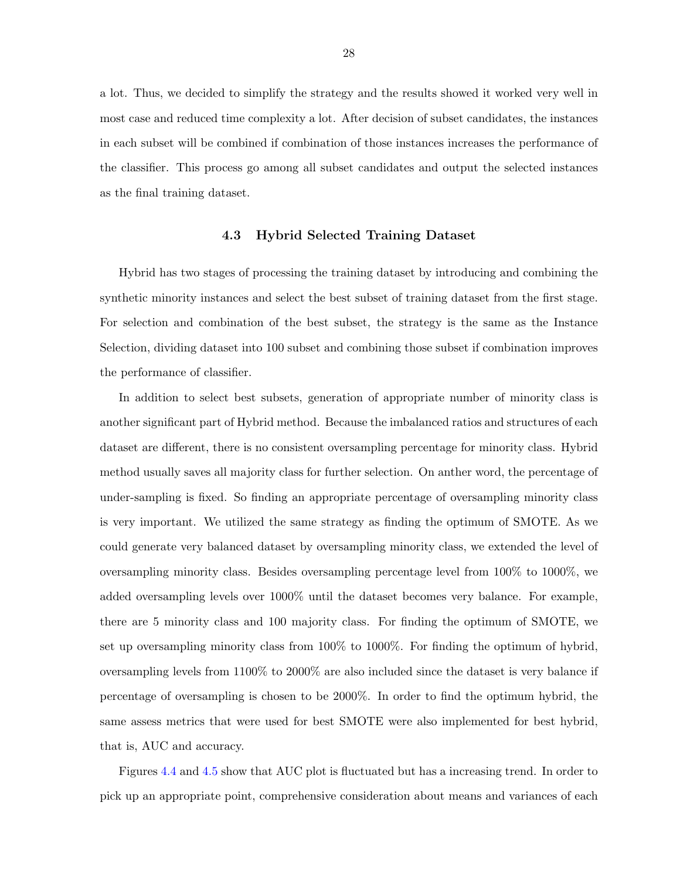<span id="page-33-0"></span>a lot. Thus, we decided to simplify the strategy and the results showed it worked very well in most case and reduced time complexity a lot. After decision of subset candidates, the instances in each subset will be combined if combination of those instances increases the performance of the classifier. This process go among all subset candidates and output the selected instances as the final training dataset.

#### 4.3 Hybrid Selected Training Dataset

Hybrid has two stages of processing the training dataset by introducing and combining the synthetic minority instances and select the best subset of training dataset from the first stage. For selection and combination of the best subset, the strategy is the same as the Instance Selection, dividing dataset into 100 subset and combining those subset if combination improves the performance of classifier.

In addition to select best subsets, generation of appropriate number of minority class is another significant part of Hybrid method. Because the imbalanced ratios and structures of each dataset are different, there is no consistent oversampling percentage for minority class. Hybrid method usually saves all majority class for further selection. On anther word, the percentage of under-sampling is fixed. So finding an appropriate percentage of oversampling minority class is very important. We utilized the same strategy as finding the optimum of SMOTE. As we could generate very balanced dataset by oversampling minority class, we extended the level of oversampling minority class. Besides oversampling percentage level from 100% to 1000%, we added oversampling levels over 1000% until the dataset becomes very balance. For example, there are 5 minority class and 100 majority class. For finding the optimum of SMOTE, we set up oversampling minority class from 100% to 1000%. For finding the optimum of hybrid, oversampling levels from 1100% to 2000% are also included since the dataset is very balance if percentage of oversampling is chosen to be 2000%. In order to find the optimum hybrid, the same assess metrics that were used for best SMOTE were also implemented for best hybrid, that is, AUC and accuracy.

Figures [4.4](#page-34-0) and [4.5](#page-34-0) show that AUC plot is fluctuated but has a increasing trend. In order to pick up an appropriate point, comprehensive consideration about means and variances of each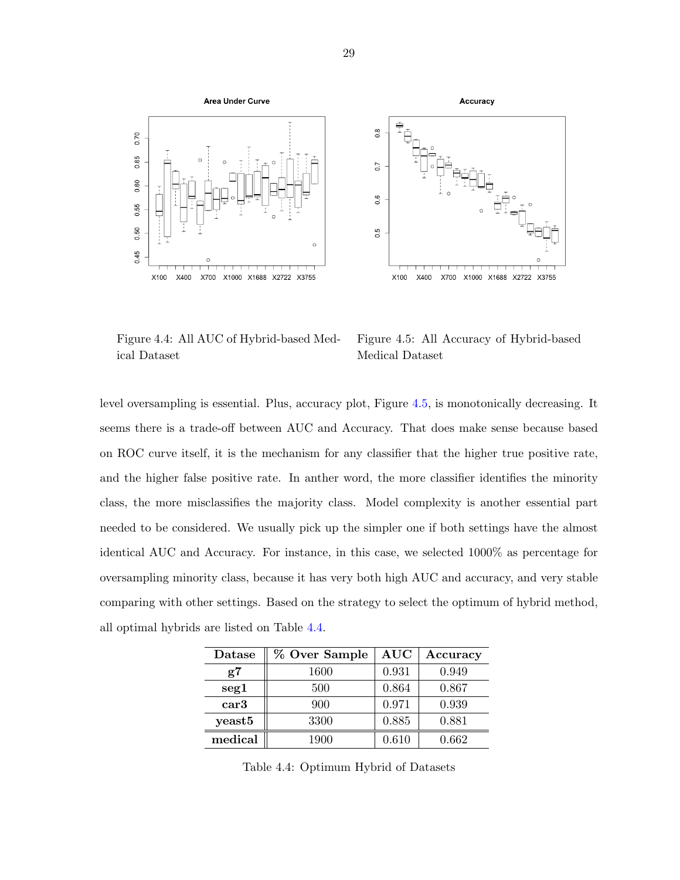<span id="page-34-0"></span>

Figure 4.4: All AUC of Hybrid-based Medical Dataset

Figure 4.5: All Accuracy of Hybrid-based Medical Dataset

level oversampling is essential. Plus, accuracy plot, Figure 4.5, is monotonically decreasing. It seems there is a trade-off between AUC and Accuracy. That does make sense because based on ROC curve itself, it is the mechanism for any classifier that the higher true positive rate, and the higher false positive rate. In anther word, the more classifier identifies the minority class, the more misclassifies the majority class. Model complexity is another essential part needed to be considered. We usually pick up the simpler one if both settings have the almost identical AUC and Accuracy. For instance, in this case, we selected 1000% as percentage for oversampling minority class, because it has very both high AUC and accuracy, and very stable comparing with other settings. Based on the strategy to select the optimum of hybrid method, all optimal hybrids are listed on Table 4.4.

| Datase   | % Over Sample | <b>AUC</b> | Accuracy |
|----------|---------------|------------|----------|
| $\rm g7$ | 1600          | 0.931      | 0.949    |
| seg1     | 500           | 0.864      | 0.867    |
| car3     | 900           | 0.971      | 0.939    |
| yeast5   | 3300          | 0.885      | 0.881    |
| medical  | 1900          | 0.610      | 0.662    |

Table 4.4: Optimum Hybrid of Datasets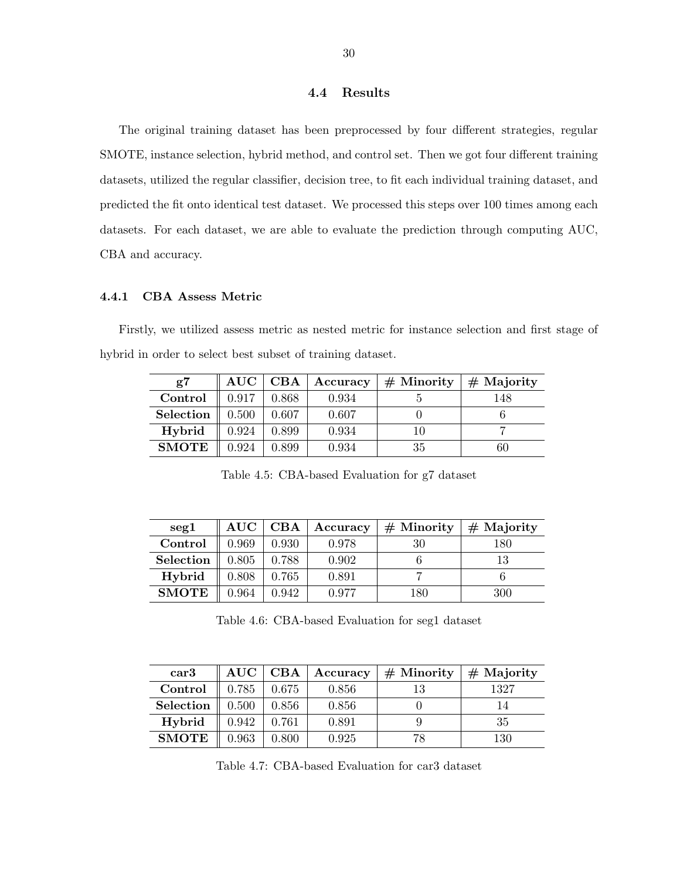#### 4.4 Results

<span id="page-35-0"></span>The original training dataset has been preprocessed by four different strategies, regular SMOTE, instance selection, hybrid method, and control set. Then we got four different training datasets, utilized the regular classifier, decision tree, to fit each individual training dataset, and predicted the fit onto identical test dataset. We processed this steps over 100 times among each datasets. For each dataset, we are able to evaluate the prediction through computing AUC, CBA and accuracy.

#### 4.4.1 CBA Assess Metric

Firstly, we utilized assess metric as nested metric for instance selection and first stage of hybrid in order to select best subset of training dataset.

| $\mathrm{g}7$ | $\mathbf{AUC}$ | CBA   | Accuracy | $#$ Minority | $#$ Majority |
|---------------|----------------|-------|----------|--------------|--------------|
| Control       | 0.917          | 0.868 | 0.934    |              | 148          |
| Selection     | 0.500          | 0.607 | 0.607    |              |              |
| Hybrid        | 0.924          | 0.899 | 0.934    |              |              |
| <b>SMOTE</b>  | 0.924          | 0.899 | 0.934    | 35           | 60           |

Table 4.5: CBA-based Evaluation for g7 dataset

| seg1         | $\rm AUC$ | CBA   | Accuracy | $#$ Minority | $#$ Majority |
|--------------|-----------|-------|----------|--------------|--------------|
| Control      | 0.969     | 0.930 | 0.978    | 30           | 180          |
| Selection    | 0.805     | 0.788 | 0.902    |              |              |
| Hybrid       | 0.808     | 0.765 | 0.891    |              |              |
| <b>SMOTE</b> | 0.964     | 0.942 | 0.977    | 180          | 300          |

Table 4.6: CBA-based Evaluation for seg1 dataset

| $\operatorname*{car3}%$ | $\rm AUC$ | $\bf CBA$ | Accuracy | $#$ Minority | $#$ Majority |
|-------------------------|-----------|-----------|----------|--------------|--------------|
| Control                 | 0.785     | 0.675     | 0.856    | 13           | 1327         |
| Selection               | 0.500     | 0.856     | 0.856    |              |              |
| Hybrid                  | 0.942     | 0.761     | 0.891    |              | 35           |
| <b>SMOTE</b>            | 0.963     | 0.800     | 0.925    | 78           | 130          |

Table 4.7: CBA-based Evaluation for car3 dataset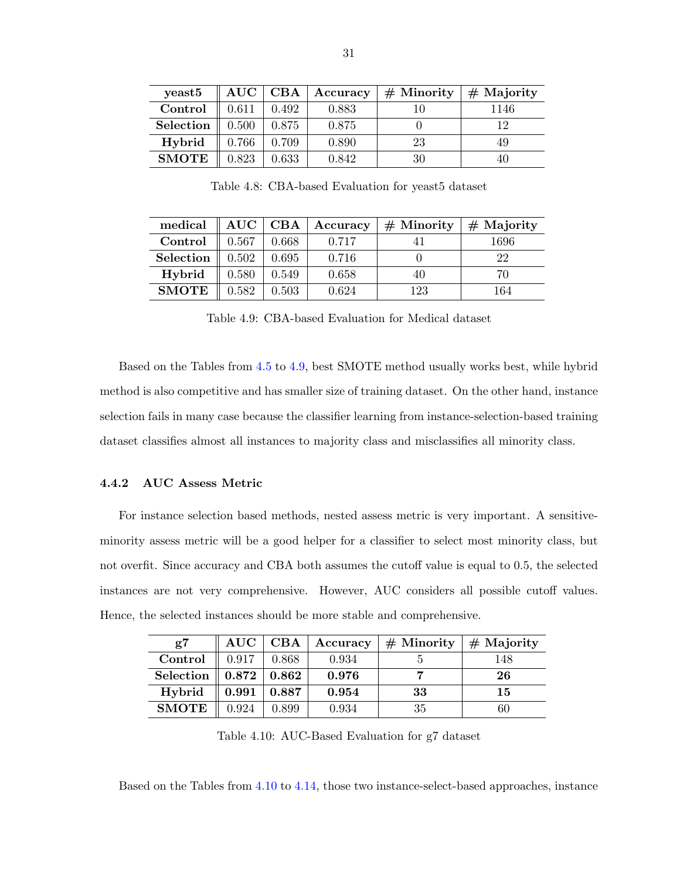<span id="page-36-0"></span>

| yeast <sup>5</sup> | $\mathbf{AUC}$ | CBA   | Accuracy | $#$ Minority | $#$ Majority |
|--------------------|----------------|-------|----------|--------------|--------------|
| Control            | 0.611          | 0.492 | 0.883    |              | 1146         |
| Selection          | 0.500          | 0.875 | 0.875    |              | 19           |
| Hybrid             | 0.766          | 0.709 | 0.890    | 23           | 49           |
| <b>SMOTE</b>       | 0.823          | 0.633 | 0.842    | 30           |              |

Table 4.8: CBA-based Evaluation for yeast5 dataset

| medical      | $\mathbf{AUC}$ | CBA   | Accuracy | $#$ Minority | $#$ Majority |
|--------------|----------------|-------|----------|--------------|--------------|
| Control      | 0.567          | 0.668 | 0.717    |              | 1696         |
| Selection    | 0.502          | 0.695 | 0.716    |              | 22           |
| Hybrid       | 0.580          | 0.549 | 0.658    | 40           | 70           |
| <b>SMOTE</b> | 0.582          | 0.503 | 0.624    | 123          | 164          |

Table 4.9: CBA-based Evaluation for Medical dataset

Based on the Tables from [4.5](#page-35-0) to 4.9, best SMOTE method usually works best, while hybrid method is also competitive and has smaller size of training dataset. On the other hand, instance selection fails in many case because the classifier learning from instance-selection-based training dataset classifies almost all instances to majority class and misclassifies all minority class.

## 4.4.2 AUC Assess Metric

For instance selection based methods, nested assess metric is very important. A sensitiveminority assess metric will be a good helper for a classifier to select most minority class, but not overfit. Since accuracy and CBA both assumes the cutoff value is equal to 0.5, the selected instances are not very comprehensive. However, AUC considers all possible cutoff values. Hence, the selected instances should be more stable and comprehensive.

| g7           | $\mathbf{AUC}$ | $\operatorname{CBA}$ | Accuracy | $#$ Minority | $#$ Majority |
|--------------|----------------|----------------------|----------|--------------|--------------|
| Control      | 0.917          | 0.868                | 0.934    |              | 148          |
| Selection    | 0.872          | 0.862                | 0.976    |              | 26           |
| Hybrid       | 0.991          | 0.887                | 0.954    | 33           | 15           |
| <b>SMOTE</b> | 0.924          | 0.899                | 0.934    | 35           | 60           |

Table 4.10: AUC-Based Evaluation for g7 dataset

Based on the Tables from 4.10 to [4.14,](#page-38-0) those two instance-select-based approaches, instance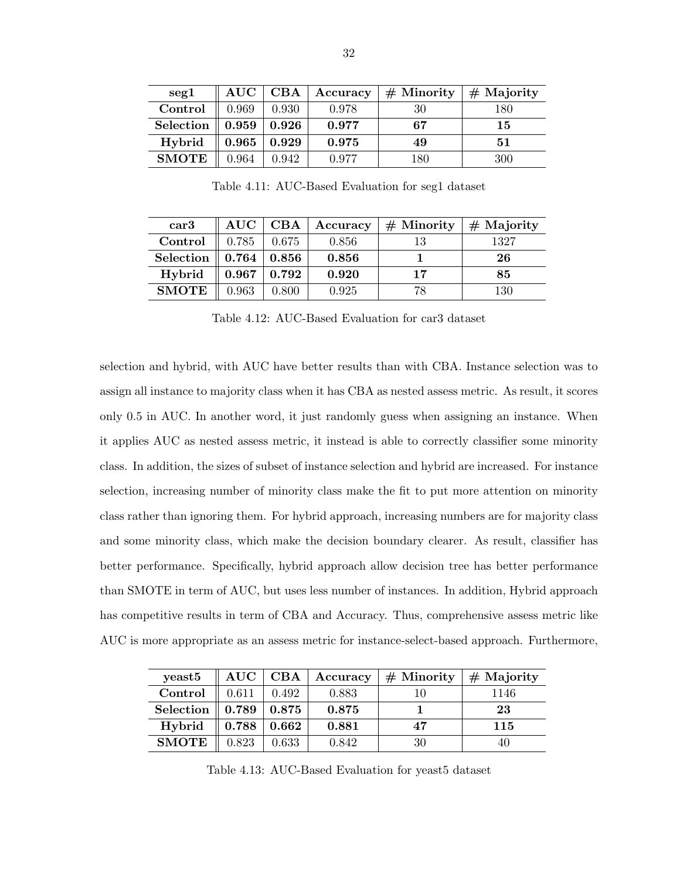<span id="page-37-0"></span>

| $\text{seg}1$ | $\mathbf{AUC}$ | CBA   | Accuracy | $#$ Minority | $#$ Majority |
|---------------|----------------|-------|----------|--------------|--------------|
| Control       | 0.969          | 0.930 | 0.978    | 30           | 180          |
| Selection     | 0.959          | 0.926 | 0.977    | 67           | 15           |
| Hybrid        | 0.965          | 0.929 | 0.975    | 49           | 51           |
| <b>SMOTE</b>  | 0.964          | 0.942 | 0.977    | 180          | 300          |

Table 4.11: AUC-Based Evaluation for seg1 dataset

| $\operatorname*{car3}%$ | $\mathbf{AUC}$ | CBA   | Accuracy | $#$ Minority | $#$ Majority |
|-------------------------|----------------|-------|----------|--------------|--------------|
| Control                 | 0.785          | 0.675 | 0.856    |              | 1327         |
| Selection               | 0.764          | 0.856 | 0.856    |              | 26           |
| Hybrid                  | 0.967          | 0.792 | 0.920    | 17           | 85           |
| <b>SMOTE</b>            | 0.963          | 0.800 | 0.925    | 78           | 130          |

Table 4.12: AUC-Based Evaluation for car3 dataset

selection and hybrid, with AUC have better results than with CBA. Instance selection was to assign all instance to majority class when it has CBA as nested assess metric. As result, it scores only 0.5 in AUC. In another word, it just randomly guess when assigning an instance. When it applies AUC as nested assess metric, it instead is able to correctly classifier some minority class. In addition, the sizes of subset of instance selection and hybrid are increased. For instance selection, increasing number of minority class make the fit to put more attention on minority class rather than ignoring them. For hybrid approach, increasing numbers are for majority class and some minority class, which make the decision boundary clearer. As result, classifier has better performance. Specifically, hybrid approach allow decision tree has better performance than SMOTE in term of AUC, but uses less number of instances. In addition, Hybrid approach has competitive results in term of CBA and Accuracy. Thus, comprehensive assess metric like AUC is more appropriate as an assess metric for instance-select-based approach. Furthermore,

| yeast <sup>5</sup> |       | AUC   CBA   | Accuracy | $#$ Minority | $#$ Majority |
|--------------------|-------|-------------|----------|--------------|--------------|
| Control            | 0.611 | 0.492       | 0.883    |              | 1146         |
| Selection          | 0.789 | 0.875       | 0.875    |              | 23           |
| Hybrid             | 0.788 | $\bf 0.662$ | 0.881    | 47           | 115          |
| <b>SMOTE</b>       | 0.823 | 0.633       | 0.842    | 30           | 40           |

Table 4.13: AUC-Based Evaluation for yeast5 dataset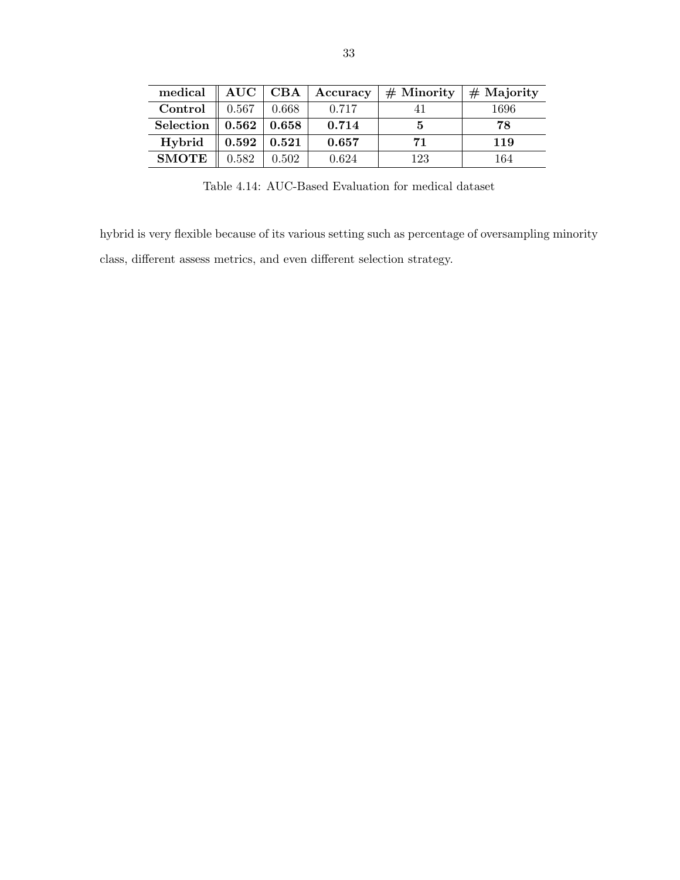<span id="page-38-0"></span>

| medical      | $\mathbf{AUC}$ | CBA   | Accuracy | $#$ Minority | $#$ Majority |
|--------------|----------------|-------|----------|--------------|--------------|
| Control      | 0.567          | 0.668 | 0.717    |              | 1696         |
| Selection    | $\bf 0.562$    | 0.658 | 0.714    |              | 78           |
| Hybrid       | 0.592          | 0.521 | 0.657    | 71           | 119          |
| <b>SMOTE</b> | 0.582          | 0.502 | 0.624    | 123          | 164          |

Table 4.14: AUC-Based Evaluation for medical dataset

hybrid is very flexible because of its various setting such as percentage of oversampling minority class, different assess metrics, and even different selection strategy.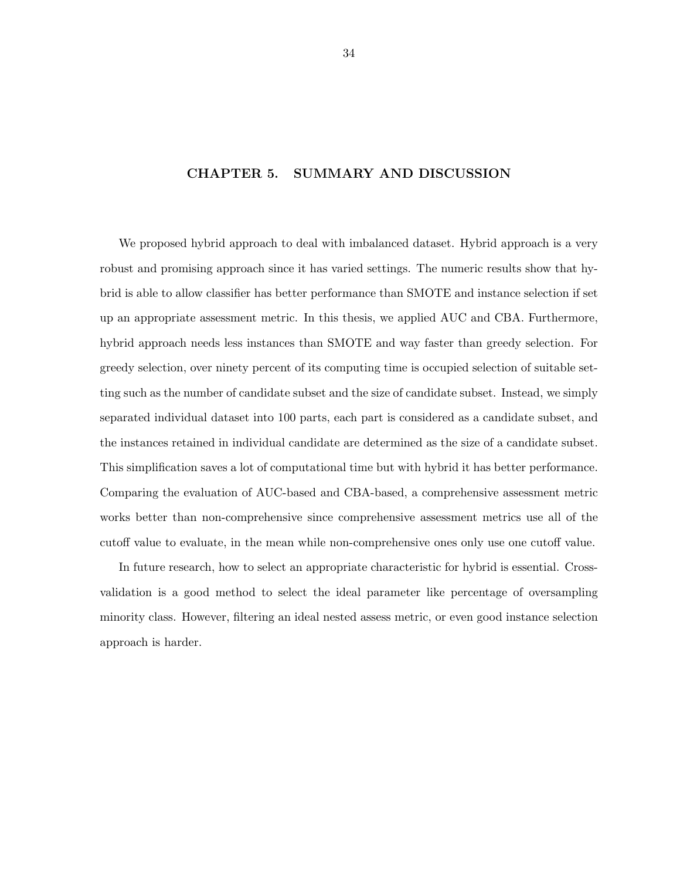## <span id="page-39-0"></span>CHAPTER 5. SUMMARY AND DISCUSSION

We proposed hybrid approach to deal with imbalanced dataset. Hybrid approach is a very robust and promising approach since it has varied settings. The numeric results show that hybrid is able to allow classifier has better performance than SMOTE and instance selection if set up an appropriate assessment metric. In this thesis, we applied AUC and CBA. Furthermore, hybrid approach needs less instances than SMOTE and way faster than greedy selection. For greedy selection, over ninety percent of its computing time is occupied selection of suitable setting such as the number of candidate subset and the size of candidate subset. Instead, we simply separated individual dataset into 100 parts, each part is considered as a candidate subset, and the instances retained in individual candidate are determined as the size of a candidate subset. This simplification saves a lot of computational time but with hybrid it has better performance. Comparing the evaluation of AUC-based and CBA-based, a comprehensive assessment metric works better than non-comprehensive since comprehensive assessment metrics use all of the cutoff value to evaluate, in the mean while non-comprehensive ones only use one cutoff value.

In future research, how to select an appropriate characteristic for hybrid is essential. Crossvalidation is a good method to select the ideal parameter like percentage of oversampling minority class. However, filtering an ideal nested assess metric, or even good instance selection approach is harder.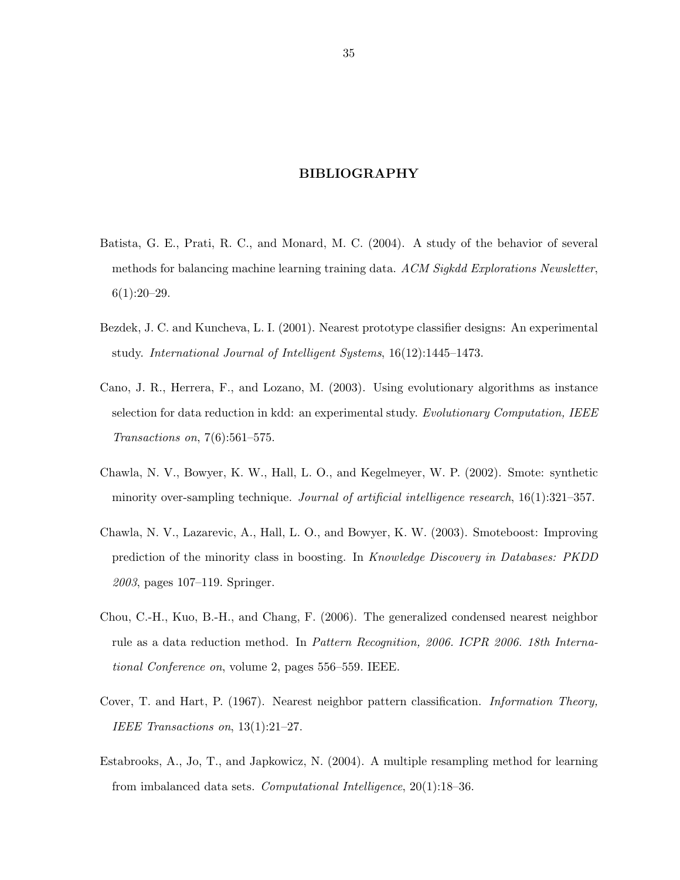## BIBLIOGRAPHY

- <span id="page-40-0"></span>Batista, G. E., Prati, R. C., and Monard, M. C. (2004). A study of the behavior of several methods for balancing machine learning training data. ACM Sigkdd Explorations Newsletter,  $6(1):20-29.$
- Bezdek, J. C. and Kuncheva, L. I. (2001). Nearest prototype classifier designs: An experimental study. International Journal of Intelligent Systems, 16(12):1445–1473.
- Cano, J. R., Herrera, F., and Lozano, M. (2003). Using evolutionary algorithms as instance selection for data reduction in kdd: an experimental study. Evolutionary Computation, IEEE Transactions on, 7(6):561–575.
- Chawla, N. V., Bowyer, K. W., Hall, L. O., and Kegelmeyer, W. P. (2002). Smote: synthetic minority over-sampling technique. Journal of artificial intelligence research,  $16(1):321-357$ .
- Chawla, N. V., Lazarevic, A., Hall, L. O., and Bowyer, K. W. (2003). Smoteboost: Improving prediction of the minority class in boosting. In Knowledge Discovery in Databases: PKDD 2003, pages 107–119. Springer.
- Chou, C.-H., Kuo, B.-H., and Chang, F. (2006). The generalized condensed nearest neighbor rule as a data reduction method. In Pattern Recognition, 2006. ICPR 2006. 18th International Conference on, volume 2, pages 556–559. IEEE.
- Cover, T. and Hart, P. (1967). Nearest neighbor pattern classification. Information Theory, IEEE Transactions on, 13(1):21–27.
- Estabrooks, A., Jo, T., and Japkowicz, N. (2004). A multiple resampling method for learning from imbalanced data sets. Computational Intelligence, 20(1):18–36.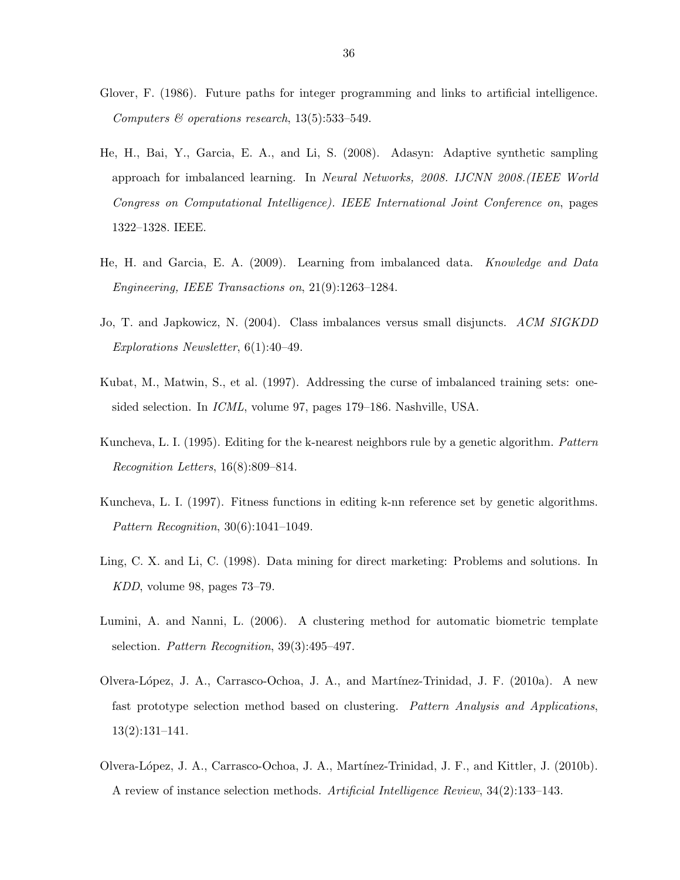- Glover, F. (1986). Future paths for integer programming and links to artificial intelligence. Computers  $\mathcal C$  operations research, 13(5):533-549.
- He, H., Bai, Y., Garcia, E. A., and Li, S. (2008). Adasyn: Adaptive synthetic sampling approach for imbalanced learning. In Neural Networks, 2008. IJCNN 2008.(IEEE World Congress on Computational Intelligence). IEEE International Joint Conference on, pages 1322–1328. IEEE.
- He, H. and Garcia, E. A. (2009). Learning from imbalanced data. Knowledge and Data Engineering, IEEE Transactions on, 21(9):1263–1284.
- Jo, T. and Japkowicz, N. (2004). Class imbalances versus small disjuncts. ACM SIGKDD Explorations Newsletter, 6(1):40–49.
- Kubat, M., Matwin, S., et al. (1997). Addressing the curse of imbalanced training sets: onesided selection. In ICML, volume 97, pages 179–186. Nashville, USA.
- Kuncheva, L. I. (1995). Editing for the k-nearest neighbors rule by a genetic algorithm. Pattern Recognition Letters, 16(8):809–814.
- Kuncheva, L. I. (1997). Fitness functions in editing k-nn reference set by genetic algorithms. Pattern Recognition, 30(6):1041–1049.
- Ling, C. X. and Li, C. (1998). Data mining for direct marketing: Problems and solutions. In KDD, volume 98, pages 73–79.
- Lumini, A. and Nanni, L. (2006). A clustering method for automatic biometric template selection. Pattern Recognition, 39(3):495–497.
- Olvera-L´opez, J. A., Carrasco-Ochoa, J. A., and Mart´ınez-Trinidad, J. F. (2010a). A new fast prototype selection method based on clustering. Pattern Analysis and Applications, 13(2):131–141.
- Olvera-L´opez, J. A., Carrasco-Ochoa, J. A., Mart´ınez-Trinidad, J. F., and Kittler, J. (2010b). A review of instance selection methods. Artificial Intelligence Review, 34(2):133–143.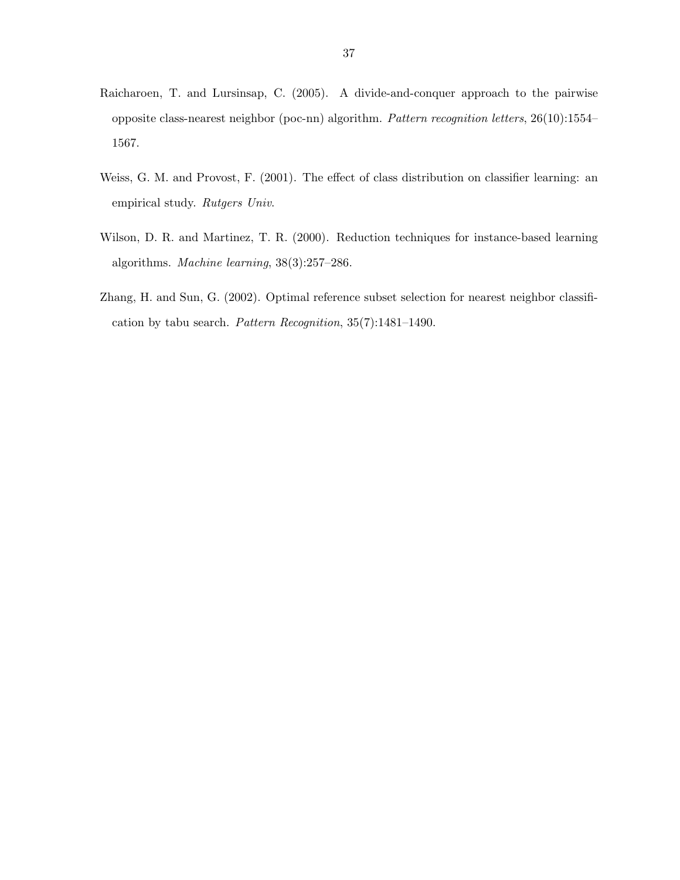- Raicharoen, T. and Lursinsap, C. (2005). A divide-and-conquer approach to the pairwise opposite class-nearest neighbor (poc-nn) algorithm. Pattern recognition letters, 26(10):1554– 1567.
- Weiss, G. M. and Provost, F. (2001). The effect of class distribution on classifier learning: an empirical study. Rutgers Univ.
- Wilson, D. R. and Martinez, T. R. (2000). Reduction techniques for instance-based learning algorithms. Machine learning, 38(3):257–286.
- Zhang, H. and Sun, G. (2002). Optimal reference subset selection for nearest neighbor classification by tabu search. Pattern Recognition, 35(7):1481–1490.